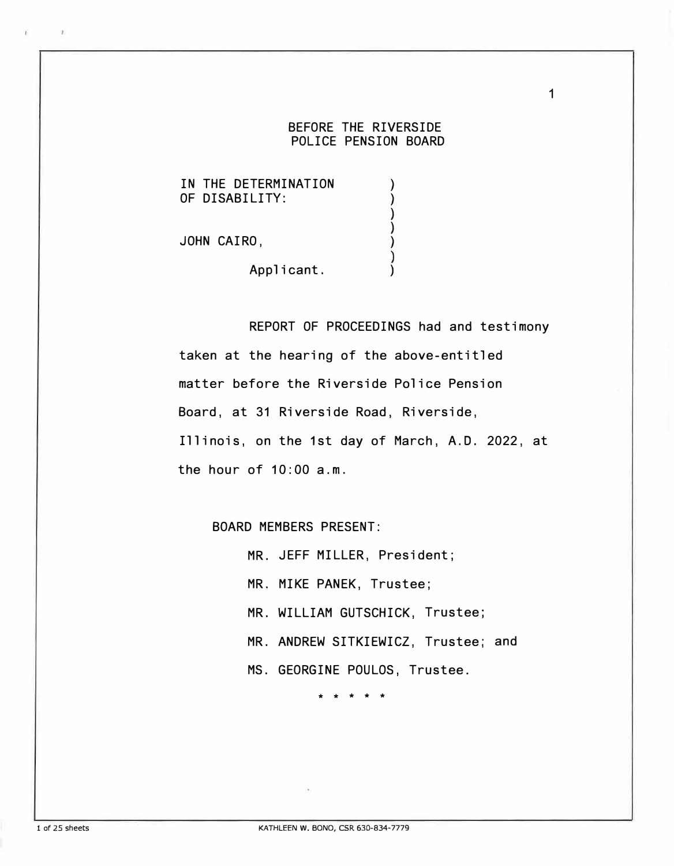## BEFORE THE RIVERSIDE POLICE PENSION BOARD

) ) 1

IN THE DETERMINATION OF DISABILITY:

JOHN CAIRO,

Applicant.

REPORT OF PROCEEDINGS had and testimony taken at the hearing of the above-entitled matter before the Riverside Police Pension Board, at 31 Riverside Road, Riverside, Illinois, on the 1st day of March, A.O. 2022, at the hour of 10:00 a.m.

BOARD MEMBERS PRESENT:

MR. JEFF MILLER, President;

MR. MIKE PANEK, Trustee;

MR. WILLIAM GUTSCHICK, Trustee;

MR. ANDREW SITKIEWICZ, Trustee; and

MS. GEORGINE POULOS, Trustee.

\* \* \* \* \*

 $\rightarrow$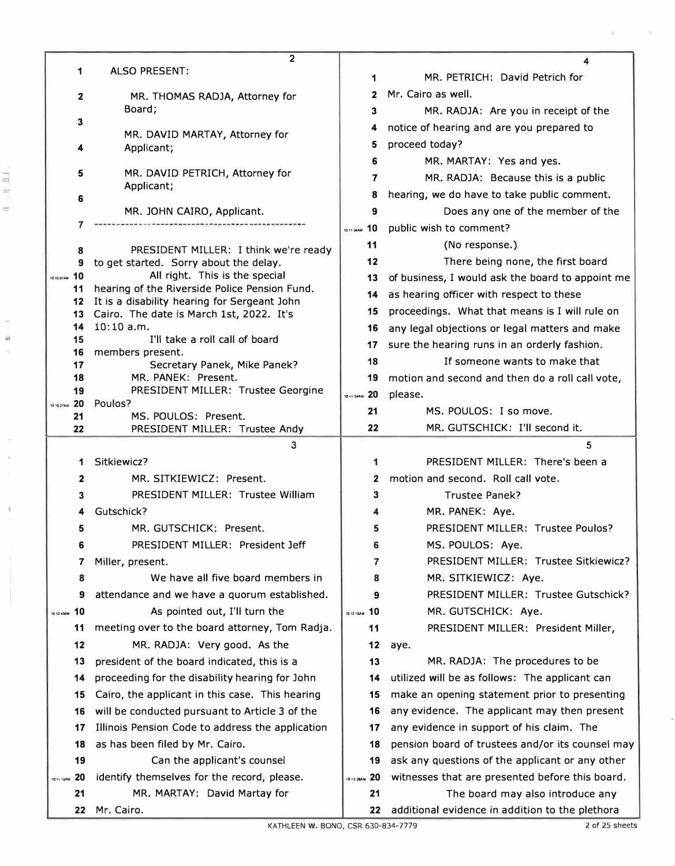|                   | $\mathbf{2}$                                                                                              |                 | 4                                                                                   |
|-------------------|-----------------------------------------------------------------------------------------------------------|-----------------|-------------------------------------------------------------------------------------|
|                   | 1<br><b>ALSO PRESENT:</b>                                                                                 | 1               | MR. PETRICH: David Petrich for                                                      |
|                   | 2<br>MR. THOMAS RADJA, Attorney for                                                                       | 2               | Mr. Cairo as well.                                                                  |
|                   | Board;<br>3                                                                                               | 3               | MR. RADJA: Are you in receipt of the                                                |
|                   | MR. DAVID MARTAY, Attorney for<br>Applicant;                                                              | 4               | notice of hearing and are you prepared to                                           |
|                   |                                                                                                           | 5               | proceed today?                                                                      |
|                   |                                                                                                           | 6               | MR. MARTAY: Yes and yes.                                                            |
|                   | 5<br>MR. DAVID PETRICH, Attorney for                                                                      | 7               | MR. RADJA: Because this is a public                                                 |
|                   | Applicant;<br>6                                                                                           | 8               | hearing, we do have to take public comment.                                         |
|                   | MR. JOHN CAIRO, Applicant.                                                                                | 9               | Does any one of the member of the                                                   |
|                   |                                                                                                           | 10<br>1011 34AM | public wish to comment?                                                             |
|                   | PRESIDENT MILLER: I think we're ready<br>8                                                                | 11              | (No response.)                                                                      |
|                   | to get started. Sorry about the delay.<br>9                                                               | 12              | There being none, the first board                                                   |
| 10<br>10 10 01 AM | All right. This is the special                                                                            | 13              | of business, I would ask the board to appoint me                                    |
|                   | hearing of the Riverside Police Pension Fund.<br>11<br>It is a disability hearing for Sergeant John<br>12 | 14              | as hearing officer with respect to these                                            |
|                   | Cairo. The date is March 1st, 2022. It's<br>13                                                            | 15              | proceedings. What that means is I will rule on                                      |
|                   | 10:10 a.m.<br>14                                                                                          | 16              | any legal objections or legal matters and make                                      |
| 15                | I'll take a roll call of board<br>16<br>members present.                                                  | 17              | sure the hearing runs in an orderly fashion.                                        |
|                   | 17<br>Secretary Panek, Mike Panek?                                                                        | 18              | If someone wants to make that                                                       |
|                   | MR. PANEK: Present.<br>18                                                                                 | 19              | motion and second and then do a roll call vote,                                     |
|                   | PRESIDENT MILLER: Trustee Georgine<br>19<br>20<br>Poulos?                                                 | 10 11 S4AM 20   | please.                                                                             |
| 10 10 27 AM       | MS. POULOS: Present.<br>21                                                                                | 21              | MS. POULOS: I so move.                                                              |
|                   | 22<br>PRESIDENT MILLER: Trustee Andy                                                                      | 22              | MR. GUTSCHICK: I'll second it.                                                      |
|                   |                                                                                                           |                 |                                                                                     |
|                   | 3                                                                                                         |                 | 5                                                                                   |
|                   | Sitkiewicz?<br>1                                                                                          | 1               | PRESIDENT MILLER: There's been a                                                    |
|                   | $\mathbf{2}$<br>MR. SITKIEWICZ: Present.                                                                  | 2               | motion and second. Roll call vote.                                                  |
|                   | PRESIDENT MILLER: Trustee William<br>3                                                                    | 3               | <b>Trustee Panek?</b>                                                               |
|                   | Gutschick?<br>4                                                                                           |                 | MR. PANEK: Aye.                                                                     |
|                   | MR. GUTSCHICK: Present.<br>5                                                                              | 5               | PRESIDENT MILLER: Trustee Poulos?                                                   |
|                   | PRESIDENT MILLER: President Jeff<br>6                                                                     | 6               | MS. POULOS: Aye.                                                                    |
|                   | 7<br>Miller, present.                                                                                     | 7               | PRESIDENT MILLER: Trustee Sitkiewicz?                                               |
|                   | We have all five board members in<br>8                                                                    | 8               | MR. SITKIEWICZ: Aye.                                                                |
|                   | attendance and we have a quorum established.<br>9                                                         | 9               | PRESIDENT MILLER: Trustee Gutschick?                                                |
| 1010 43AM 10      | As pointed out, I'll turn the                                                                             | 101210AM 10     | MR. GUTSCHICK: Aye.                                                                 |
|                   | meeting over to the board attorney, Tom Radja.<br>11                                                      | 11              | PRESIDENT MILLER: President Miller,                                                 |
|                   | 12<br>MR. RADJA: Very good. As the                                                                        | 12              | aye.                                                                                |
|                   | president of the board indicated, this is a<br>13                                                         | 13              | MR. RADJA: The procedures to be                                                     |
|                   | proceeding for the disability hearing for John<br>14                                                      | 14              | utilized will be as follows: The applicant can                                      |
|                   | Cairo, the applicant in this case. This hearing<br>15                                                     | 15              | make an opening statement prior to presenting                                       |
|                   | will be conducted pursuant to Article 3 of the<br>16                                                      | 16              | any evidence. The applicant may then present                                        |
|                   | Illinois Pension Code to address the application<br>17                                                    | 17              | any evidence in support of his claim. The                                           |
|                   | as has been filed by Mr. Cairo.<br>18                                                                     | 18              | pension board of trustees and/or its counsel may                                    |
|                   | Can the applicant's counsel<br>19                                                                         | 19              | ask any questions of the applicant or any other                                     |
| 1011 12AM         | identify themselves for the record, please.<br>20                                                         | 1012 ZBAM 20    | witnesses that are presented before this board.                                     |
|                   | MR. MARTAY: David Martay for<br>21<br>Mr. Cairo.<br>22                                                    | 21<br>22        | The board may also introduce any<br>additional evidence in addition to the plethora |

Ŷ. a

k.

ŧ

ĺ

a.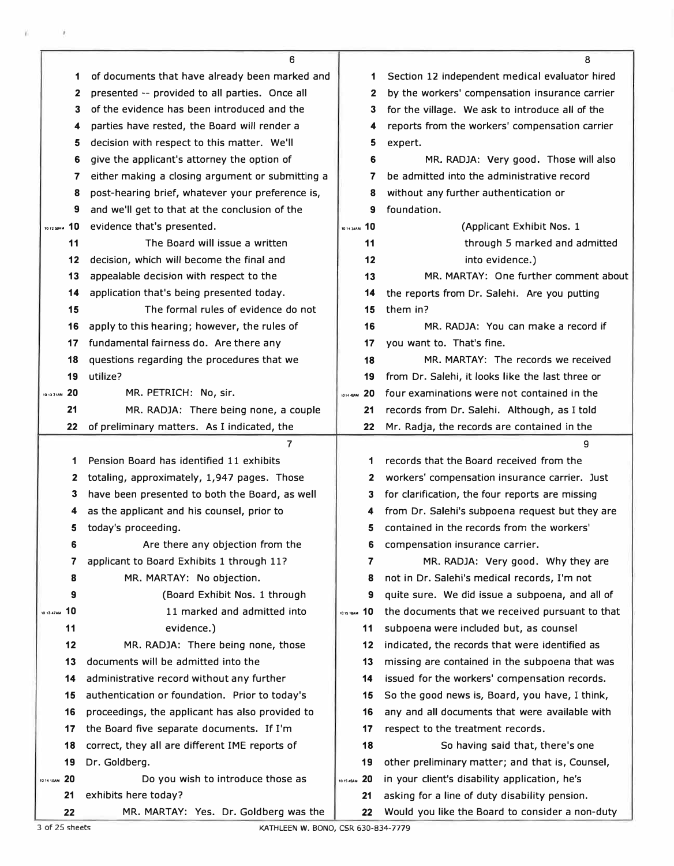|                 | 6                                                             |                     | 8                                                                                                |
|-----------------|---------------------------------------------------------------|---------------------|--------------------------------------------------------------------------------------------------|
| 1               | of documents that have already been marked and                | 1                   | Section 12 independent medical evaluator hired                                                   |
| $\mathbf{2}$    | presented -- provided to all parties. Once all                | 2                   | by the workers' compensation insurance carrier                                                   |
| 3               | of the evidence has been introduced and the                   | 3                   | for the village. We ask to introduce all of the                                                  |
| 4               | parties have rested, the Board will render a                  | 4                   | reports from the workers' compensation carrier                                                   |
| 5               | decision with respect to this matter. We'll                   | 5                   | expert.                                                                                          |
| 6               | give the applicant's attorney the option of                   | 6                   | MR. RADJA: Very good. Those will also                                                            |
| 7               | either making a closing argument or submitting a              | 7                   | be admitted into the administrative record                                                       |
| 8               | post-hearing brief, whatever your preference is,              | 8                   | without any further authentication or                                                            |
| 9               | and we'll get to that at the conclusion of the                | 9                   | foundation.                                                                                      |
| 10 12 59AM 10   | evidence that's presented.                                    | 1014 MAM 10         | (Applicant Exhibit Nos. 1                                                                        |
| 11              | The Board will issue a written                                | 11                  | through 5 marked and admitted                                                                    |
| 12              | decision, which will become the final and                     | 12                  | into evidence.)                                                                                  |
| 13              | appealable decision with respect to the                       | 13                  | MR. MARTAY: One further comment about                                                            |
| 14              | application that's being presented today.                     | 14                  | the reports from Dr. Salehi. Are you putting                                                     |
| 15              | The formal rules of evidence do not                           | 15                  | them in?                                                                                         |
| 16              | apply to this hearing; however, the rules of                  | 16                  | MR. RADJA: You can make a record if                                                              |
| 17              | fundamental fairness do. Are there any                        | 17                  | you want to. That's fine.                                                                        |
| 18              | questions regarding the procedures that we                    | 18                  | MR. MARTAY: The records we received                                                              |
| 19              | utilize?                                                      | 19                  | from Dr. Salehi, it looks like the last three or                                                 |
| 20<br>1013 21AM | MR. PETRICH: No, sir.                                         | <b>ID14 43AM</b> 20 | four examinations were not contained in the                                                      |
| 21              | MR. RADJA: There being none, a couple                         | 21                  | records from Dr. Salehi. Although, as I told                                                     |
| 22              | of preliminary matters. As I indicated, the                   | 22                  | Mr. Radja, the records are contained in the                                                      |
|                 | $\overline{7}$                                                |                     |                                                                                                  |
|                 |                                                               |                     | 9                                                                                                |
| 1               | Pension Board has identified 11 exhibits                      | 1                   | records that the Board received from the                                                         |
| 2               | totaling, approximately, 1,947 pages. Those                   | 2                   | workers' compensation insurance carrier. Just                                                    |
| 3               | have been presented to both the Board, as well                | 3                   | for clarification, the four reports are missing                                                  |
| 4               | as the applicant and his counsel, prior to                    | 4                   | from Dr. Salehi's subpoena request but they are                                                  |
| 5               | today's proceeding.                                           | 5                   | contained in the records from the workers'                                                       |
| 6               | Are there any objection from the                              | 6                   | compensation insurance carrier.                                                                  |
| 7               | applicant to Board Exhibits 1 through 11?                     | 7                   | MR. RADJA: Very good. Why they are                                                               |
| 8               | MR. MARTAY: No objection.                                     | 8                   | not in Dr. Salehi's medical records, I'm not                                                     |
| 9               | (Board Exhibit Nos. 1 through                                 | 9                   | quite sure. We did issue a subpoena, and all of                                                  |
| 10 13 47AM 10   | 11 marked and admitted into                                   | 10.15 18AM 10       | the documents that we received pursuant to that                                                  |
| 11              | evidence.)                                                    | 11                  | subpoena were included but, as counsel                                                           |
| 12              | MR. RADJA: There being none, those                            | 12                  | indicated, the records that were identified as                                                   |
| 13              | documents will be admitted into the                           | 13                  | missing are contained in the subpoena that was                                                   |
| 14              | administrative record without any further                     | 14                  | issued for the workers' compensation records.                                                    |
| 15              | authentication or foundation. Prior to today's                | 15                  | So the good news is, Board, you have, I think,                                                   |
| 16              | proceedings, the applicant has also provided to               | 16                  | any and all documents that were available with                                                   |
| 17              | the Board five separate documents. If I'm                     | 17                  | respect to the treatment records.                                                                |
| 18              | correct, they all are different IME reports of                | 18                  | So having said that, there's one                                                                 |
| 19              | Dr. Goldberg.                                                 | 19                  | other preliminary matter; and that is, Counsel,                                                  |
| 1014 10AM 20    | Do you wish to introduce those as                             | 101545AM 20         | in your client's disability application, he's                                                    |
| 21              | exhibits here today?<br>MR. MARTAY: Yes. Dr. Goldberg was the | 21                  | asking for a line of duty disability pension.<br>Would you like the Board to consider a non-duty |

 $\mathfrak{g}$  . In the set of  $\mathfrak{g}_1$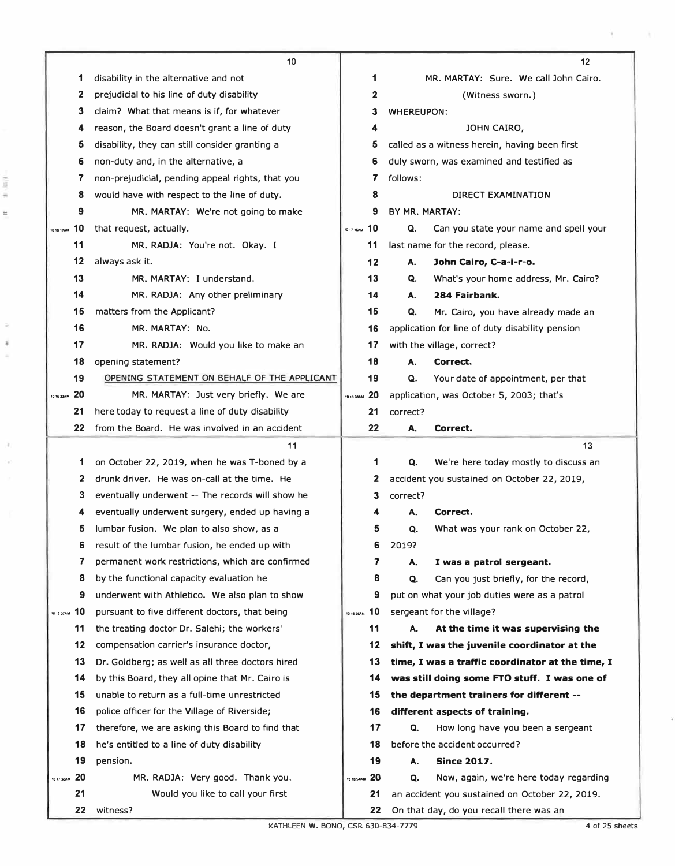|                  | 10                                               |              | 12 |                                       |                                                  |  |  |
|------------------|--------------------------------------------------|--------------|----|---------------------------------------|--------------------------------------------------|--|--|
| 1                | disability in the alternative and not            |              | 1  | MR. MARTAY: Sure. We call John Cairo. |                                                  |  |  |
| 2                | prejudicial to his line of duty disability       |              | 2  | (Witness sworn.)                      |                                                  |  |  |
| 3                | claim? What that means is if, for whatever       |              | 3  | <b>WHEREUPON:</b>                     |                                                  |  |  |
| 4                | reason, the Board doesn't grant a line of duty   |              | 4  |                                       | JOHN CAIRO,                                      |  |  |
| 5                | disability, they can still consider granting a   |              | 5  |                                       | called as a witness herein, having been first    |  |  |
| 6                | non-duty and, in the alternative, a              |              | 6  |                                       | duly sworn, was examined and testified as        |  |  |
| 7                | non-prejudicial, pending appeal rights, that you |              | 7  | follows:                              |                                                  |  |  |
| 8                | would have with respect to the line of duty.     |              | 8  |                                       | DIRECT EXAMINATION                               |  |  |
| 9                | MR. MARTAY: We're not going to make              |              | 9  | BY MR. MARTAY:                        |                                                  |  |  |
| 10<br>10 18 17AM | that request, actually.                          | 1017 45AM 10 |    | Q.                                    | Can you state your name and spell your           |  |  |
| 11               | MR. RADJA: You're not. Okay. I                   |              | 11 |                                       | last name for the record, please.                |  |  |
| 12               | always ask it.                                   |              | 12 | А.                                    | John Cairo, C-a-i-r-o.                           |  |  |
| 13               | MR. MARTAY: I understand.                        |              | 13 | Q.                                    | What's your home address, Mr. Cairo?             |  |  |
| 14               | MR. RADJA: Any other preliminary                 |              | 14 | А.                                    | 284 Fairbank.                                    |  |  |
| 15               | matters from the Applicant?                      |              | 15 | Q.                                    | Mr. Cairo, you have already made an              |  |  |
| 16               | MR. MARTAY: No.                                  |              | 16 |                                       | application for line of duty disability pension  |  |  |
| 17               | MR. RADJA: Would you like to make an             |              | 17 |                                       | with the village, correct?                       |  |  |
| 18               | opening statement?                               |              | 18 | А.                                    | Correct.                                         |  |  |
| 19               | OPENING STATEMENT ON BEHALF OF THE APPLICANT     |              | 19 | Q.                                    | Your date of appointment, per that               |  |  |
| 20<br>10 16 33AM | MR. MARTAY: Just very briefly. We are            | 1018 DJAM 20 |    |                                       | application, was October 5, 2003; that's         |  |  |
| 21               | here today to request a line of duty disability  |              | 21 | correct?                              |                                                  |  |  |
| 22               | from the Board. He was involved in an accident   |              | 22 | А.                                    | Correct.                                         |  |  |
|                  |                                                  |              |    |                                       |                                                  |  |  |
|                  | 11                                               |              |    |                                       | 13                                               |  |  |
| 1                | on October 22, 2019, when he was T-boned by a    |              | 1  | Q.                                    | We're here today mostly to discuss an            |  |  |
| 2                | drunk driver. He was on-call at the time. He     |              | 2  |                                       | accident you sustained on October 22, 2019,      |  |  |
| 3                | eventually underwent -- The records will show he |              | 3  | correct?                              |                                                  |  |  |
| 4                | eventually underwent surgery, ended up having a  |              | 4  | А.                                    | Correct.                                         |  |  |
| 5                | lumbar fusion. We plan to also show, as a        |              | 5  | Q.                                    | What was your rank on October 22,                |  |  |
| 6                | result of the lumbar fusion, he ended up with    |              | 6  | 2019?                                 |                                                  |  |  |
| 7                | permanent work restrictions, which are confirmed |              | 7  | А.                                    | I was a patrol sergeant.                         |  |  |
| 8                | by the functional capacity evaluation he         |              | 8  | Q.                                    | Can you just briefly, for the record,            |  |  |
| 9                | underwent with Athletico. We also plan to show   |              | 9  |                                       | put on what your job duties were as a patrol     |  |  |
| 10<br>101707AM   | pursuant to five different doctors, that being   | 101825AM 10  |    |                                       | sergeant for the village?                        |  |  |
| 11               | the treating doctor Dr. Salehi; the workers'     |              | 11 | А.                                    | At the time it was supervising the               |  |  |
| 12               | compensation carrier's insurance doctor,         |              | 12 |                                       | shift, I was the juvenile coordinator at the     |  |  |
| 13               | Dr. Goldberg; as well as all three doctors hired |              | 13 |                                       | time, I was a traffic coordinator at the time, I |  |  |
| 14               | by this Board, they all opine that Mr. Cairo is  |              | 14 |                                       | was still doing some FTO stuff. I was one of     |  |  |
| 15               | unable to return as a full-time unrestricted     |              | 15 |                                       | the department trainers for different --         |  |  |
| 16               | police officer for the Village of Riverside;     |              | 16 |                                       | different aspects of training.                   |  |  |
| 17               | therefore, we are asking this Board to find that |              | 17 | Q.                                    | How long have you been a sergeant                |  |  |
| 18               | he's entitled to a line of duty disability       |              | 18 |                                       | before the accident occurred?                    |  |  |
| 19               | pension.                                         |              | 19 | А.                                    | <b>Since 2017.</b>                               |  |  |
| 1017 JOAN 20     | MR. RADJA: Very good. Thank you.                 | 10 18 54AM   | 20 | Q.                                    | Now, again, we're here today regarding           |  |  |
| 21               | Would you like to call your first                |              | 21 |                                       | an accident you sustained on October 22, 2019.   |  |  |

 $\lambda$ 

 $\frac{1}{2}$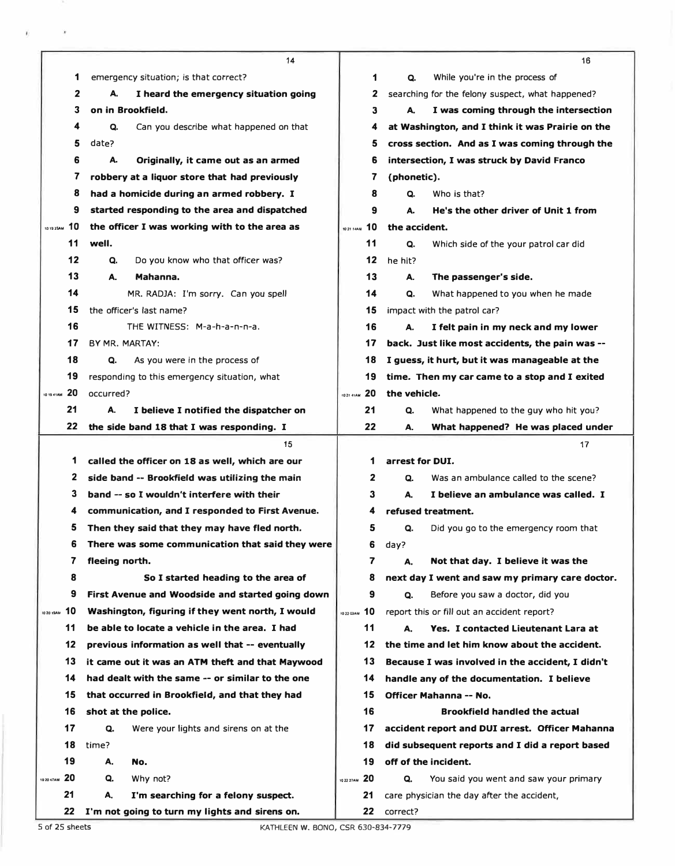|            |                 | 14                                               |                        | 16                                               |  |
|------------|-----------------|--------------------------------------------------|------------------------|--------------------------------------------------|--|
|            | 1               | emergency situation; is that correct?            | 1                      | Q.<br>While you're in the process of             |  |
|            | 2               | А.<br>I heard the emergency situation going      | 2                      | searching for the felony suspect, what happened? |  |
|            | 3               | on in Brookfield.                                | З                      | I was coming through the intersection<br>А.      |  |
|            | 4               | Q.<br>Can you describe what happened on that     | 4                      | at Washington, and I think it was Prairie on the |  |
|            | 5               | date?                                            | 5                      | cross section. And as I was coming through the   |  |
|            | 6               | А.<br>Originally, it came out as an armed        | 6                      | intersection, I was struck by David Franco       |  |
|            | 7               | robbery at a liquor store that had previously    | 7                      | (phonetic).                                      |  |
|            | 8               | had a homicide during an armed robbery. I        | 8                      | Who is that?<br>Q.                               |  |
|            | 9               | started responding to the area and dispatched    | 9                      | He's the other driver of Unit 1 from<br>А.       |  |
| 10192SAM   | 10              | the officer I was working with to the area as    | 10<br>10 21 14AM       | the accident.                                    |  |
|            | 11              | well.                                            | 11                     | Q.<br>Which side of the your patrol car did      |  |
|            | 12              | Q.<br>Do you know who that officer was?          | 12                     | he hit?                                          |  |
|            | 13              | А.<br>Mahanna.                                   | 13                     | The passenger's side.<br>А.                      |  |
|            | 14              | MR. RADJA: I'm sorry. Can you spell              | 14                     | Q.<br>What happened to you when he made          |  |
|            | 15              | the officer's last name?                         | 15                     | impact with the patrol car?                      |  |
|            | 16              | THE WITNESS: M-a-h-a-n-n-a.                      | 16                     | А.<br>I felt pain in my neck and my lower        |  |
|            | 17              | BY MR. MARTAY:                                   | 17                     | back. Just like most accidents, the pain was --  |  |
|            | 18              | Q.<br>As you were in the process of              | 18                     | I guess, it hurt, but it was manageable at the   |  |
|            | 19              | responding to this emergency situation, what     | 19                     | time. Then my car came to a stop and I exited    |  |
|            | 10 19 4 1 AM 20 | occurred?                                        | 20<br><b>1021 41AM</b> | the vehicle.                                     |  |
|            | 21              | А.<br>I believe I notified the dispatcher on     | 21                     | What happened to the guy who hit you?<br>Q.      |  |
|            | 22              | the side band 18 that I was responding. I        | 22                     | What happened? He was placed under<br>А.         |  |
|            |                 |                                                  |                        | 17                                               |  |
|            |                 | 15                                               |                        |                                                  |  |
|            | 1               | called the officer on 18 as well, which are our  | 1                      | arrest for DUI.                                  |  |
|            | 2               | side band -- Brookfield was utilizing the main   | 2                      | Was an ambulance called to the scene?<br>Q.      |  |
|            | 3               | band -- so I wouldn't interfere with their       | 3                      | I believe an ambulance was called. I<br>А.       |  |
|            | 4               | communication, and I responded to First Avenue.  | 4                      | refused treatment.                               |  |
|            | 5               | Then they said that they may have fled north.    | 5                      | Q.<br>Did you go to the emergency room that      |  |
|            | 6               | There was some communication that said they were | 6                      | day?                                             |  |
|            | 7               | fleeing north.                                   | 7                      | Not that day. I believe it was the<br>А.         |  |
|            | 8               | So I started heading to the area of              | 8                      | next day I went and saw my primary care doctor.  |  |
|            | 9               | First Avenue and Woodside and started going down | 9                      | Q.<br>Before you saw a doctor, did you           |  |
|            | 10 MAR 10       | Washington, figuring if they went north, I would | 1022 G3AM 10           | report this or fill out an accident report?      |  |
|            | 11              | be able to locate a vehicle in the area. I had   | 11                     | Yes. I contacted Lieutenant Lara at<br>А.        |  |
|            | 12              | previous information as well that -- eventually  | 12                     | the time and let him know about the accident.    |  |
|            | 13              | it came out it was an ATM theft and that Maywood | 13                     | Because I was involved in the accident, I didn't |  |
|            | 14              | had dealt with the same -- or similar to the one | 14                     | handle any of the documentation. I believe       |  |
|            | 15              | that occurred in Brookfield, and that they had   | 15                     | Officer Mahanna -- No.                           |  |
|            | 16              | shot at the police.                              | 16                     | <b>Brookfield handled the actual</b>             |  |
|            | 17              | Q.<br>Were your lights and sirens on at the      | 17                     | accident report and DUI arrest. Officer Mahanna  |  |
|            | 18              | time?                                            | 18                     | did subsequent reports and I did a report based  |  |
|            | 19              | А.<br>No.                                        | 19                     | off of the incident.                             |  |
| 10 20 47AM | 20              | Why not?<br>Q.                                   | 10 22 27 AM 20         | Q.<br>You said you went and saw your primary     |  |
|            | 21              | А.<br>I'm searching for a felony suspect.        | 21                     | care physician the day after the accident,       |  |

 $\sim$ 

Ÿ.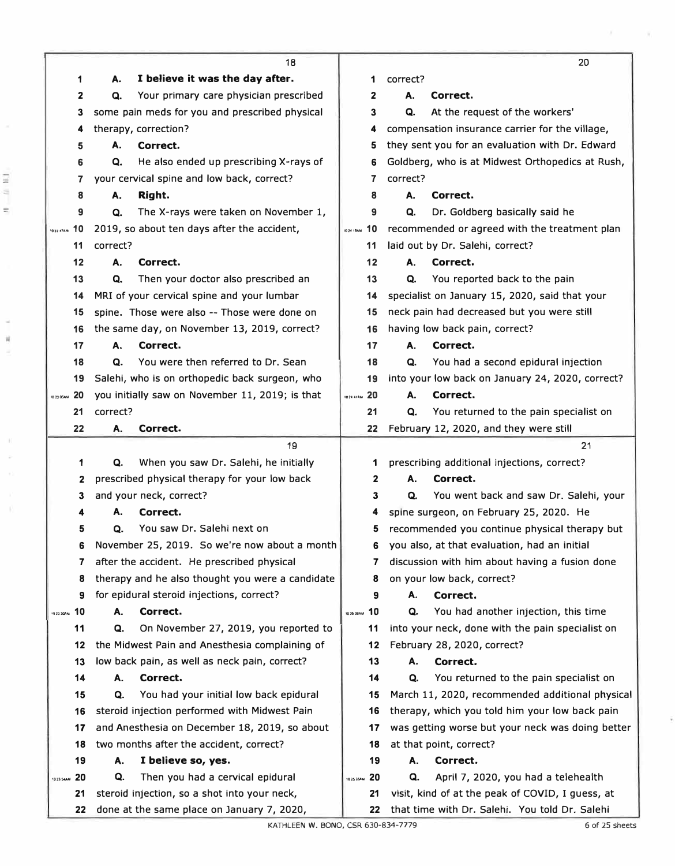| 1                 | 18<br>I believe it was the day after.<br>А.      | 1                       | 20<br>correct?                                   |
|-------------------|--------------------------------------------------|-------------------------|--------------------------------------------------|
| 2                 | Your primary care physician prescribed<br>Q.     | 2                       | Α.<br>Correct.                                   |
| 3                 | some pain meds for you and prescribed physical   | 3                       | Q.<br>At the request of the workers'             |
| 4                 | therapy, correction?                             | 4                       | compensation insurance carrier for the village,  |
| 5                 | А.<br>Correct.                                   | 5                       | they sent you for an evaluation with Dr. Edward  |
| 6                 | He also ended up prescribing X-rays of<br>Q.     | 6                       | Goldberg, who is at Midwest Orthopedics at Rush, |
| 7                 | your cervical spine and low back, correct?       | 7                       | correct?                                         |
| 8                 | Right.<br>Α.                                     | 8                       | А.<br>Correct.                                   |
| 9                 | The X-rays were taken on November 1,<br>Q.       | 9                       | Dr. Goldberg basically said he<br>Q.             |
| 10<br>10 ZZ 47 AM | 2019, so about ten days after the accident,      | 10<br><b>ID 24 19AM</b> | recommended or agreed with the treatment plan    |
| 11                | correct?                                         | 11                      | laid out by Dr. Salehi, correct?                 |
| 12                | Correct.<br>А.                                   | 12                      | Correct.<br>А.                                   |
| 13                | Q.<br>Then your doctor also prescribed an        | 13                      | You reported back to the pain<br>Q.              |
| 14                | MRI of your cervical spine and your lumbar       | 14                      | specialist on January 15, 2020, said that your   |
| 15                | spine. Those were also -- Those were done on     | 15                      | neck pain had decreased but you were still       |
| 16                | the same day, on November 13, 2019, correct?     | 16                      | having low back pain, correct?                   |
| 17                | А.<br>Correct.                                   | 17                      | А.<br>Correct.                                   |
| 18                | You were then referred to Dr. Sean<br>Q.         | 18                      | You had a second epidural injection<br>Q.        |
| 19                | Salehi, who is on orthopedic back surgeon, who   | 19                      | into your low back on January 24, 2020, correct? |
| 20<br>10 23 05AM  | you initially saw on November 11, 2019; is that  | 1024 41 AM 20           | А.<br>Correct.                                   |
| 21                | correct?                                         | 21                      | You returned to the pain specialist on<br>Q.     |
| 22                | А.<br>Correct.                                   | 22                      | February 12, 2020, and they were still           |
|                   | 19                                               |                         | 21                                               |
| 1                 | When you saw Dr. Salehi, he initially<br>Q.      | 1                       | prescribing additional injections, correct?      |
| 2                 | prescribed physical therapy for your low back    | 2                       | А.<br>Correct.                                   |
| 3                 | and your neck, correct?                          | 3                       | You went back and saw Dr. Salehi, your<br>Q.     |
|                   | Correct.<br>A.                                   | 4                       | spine surgeon, on February 25, 2020. He          |
| 5                 | You saw Dr. Salehi next on<br>Q.                 | 5                       | recommended you continue physical therapy but    |
| 6                 | November 25, 2019. So we're now about a month    | 6                       | you also, at that evaluation, had an initial     |
| 7                 | after the accident. He prescribed physical       | 7                       | discussion with him about having a fusion done   |
| 8                 | therapy and he also thought you were a candidate | 8                       | on your low back, correct?                       |
| 9                 | for epidural steroid injections, correct?        | 9                       | A.<br>Correct.                                   |
| 102330AN 10       | Correct.<br>А.                                   | 10<br>10 25 09 AM       | You had another injection, this time<br>Q.       |
| 11                | Q.<br>On November 27, 2019, you reported to      | 11                      | into your neck, done with the pain specialist on |
| 12                | the Midwest Pain and Anesthesia complaining of   | 12                      | February 28, 2020, correct?                      |
| 13                | low back pain, as well as neck pain, correct?    | 13                      | Correct.<br>А.                                   |
| 14                | Correct.<br>А.                                   | 14                      | You returned to the pain specialist on<br>Q.     |
| 15                | You had your initial low back epidural<br>Q.     | 15                      | March 11, 2020, recommended additional physical  |
| 16                | steroid injection performed with Midwest Pain    | 16                      | therapy, which you told him your low back pain   |
| 17                | and Anesthesia on December 18, 2019, so about    | 17                      | was getting worse but your neck was doing better |
| 18                | two months after the accident, correct?          | 18                      | at that point, correct?                          |
| 19                | I believe so, yes.<br>А.                         | 19                      | Correct.<br>Α.                                   |
| 20<br>10 23 SeaM  | Q.<br>Then you had a cervical epidural           | 10 25 354M 20           | April 7, 2020, you had a telehealth<br>Q.        |
| 21                | steroid injection, so a shot into your neck,     | 21                      | visit, kind of at the peak of COVID, I guess, at |
| 22                | done at the same place on January 7, 2020,       | 22                      | that time with Dr. Salehi. You told Dr. Salehi   |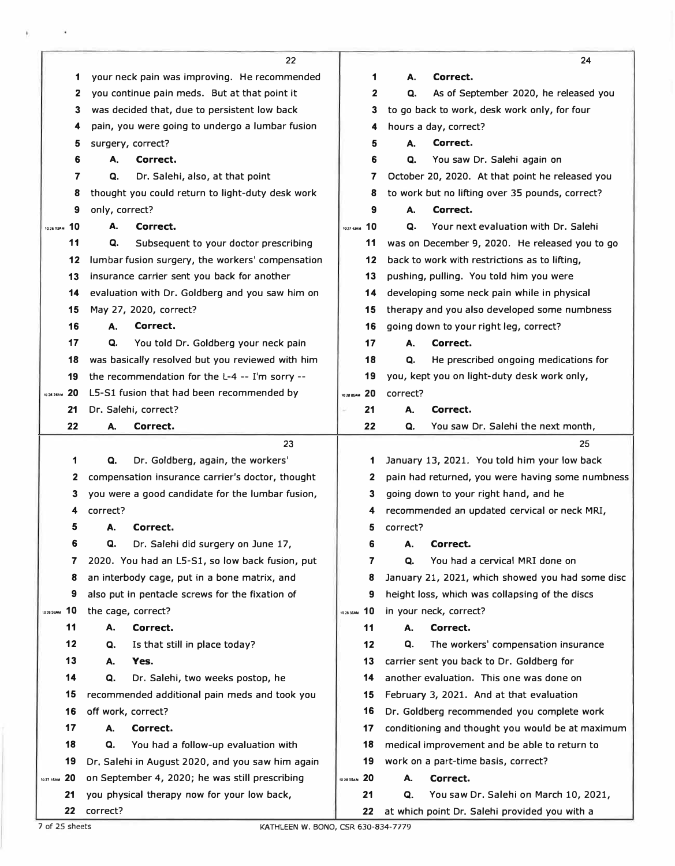|                  |                                                   | 22                                               |                   |              |          | 24                                               |
|------------------|---------------------------------------------------|--------------------------------------------------|-------------------|--------------|----------|--------------------------------------------------|
|                  | your neck pain was improving. He recommended<br>1 |                                                  |                   | 1            | А.       | Correct.                                         |
|                  | you continue pain meds. But at that point it<br>2 |                                                  |                   | $\mathbf{2}$ | Q.       | As of September 2020, he released you            |
|                  | was decided that, due to persistent low back<br>3 |                                                  |                   | 3            |          | to go back to work, desk work only, for four     |
|                  | 4                                                 | pain, you were going to undergo a lumbar fusion  |                   | 4            |          | hours a day, correct?                            |
|                  | surgery, correct?<br>5                            |                                                  |                   | 5            | А.       | Correct.                                         |
|                  | 6<br>А.                                           | Correct.                                         |                   | 6            | Q.       | You saw Dr. Salehi again on                      |
|                  | 7<br>Q.                                           | Dr. Salehi, also, at that point                  |                   | 7            |          | October 20, 2020. At that point he released you  |
|                  | 8                                                 | thought you could return to light-duty desk work |                   | 8            |          | to work but no lifting over 35 pounds, correct?  |
|                  | only, correct?<br>9                               |                                                  |                   | 9            | А.       | Correct.                                         |
| 10<br>10 26 03AM | А.                                                | Correct.                                         | 10 27 43AM        | 10           | Q.       | Your next evaluation with Dr. Salehi             |
| 11               | Q.                                                | Subsequent to your doctor prescribing            |                   | 11           |          | was on December 9, 2020. He released you to go   |
| 12               |                                                   | lumbar fusion surgery, the workers' compensation |                   | 12           |          | back to work with restrictions as to lifting,    |
| 13               |                                                   | insurance carrier sent you back for another      |                   | 13           |          | pushing, pulling. You told him you were          |
| 14               |                                                   | evaluation with Dr. Goldberg and you saw him on  |                   | 14           |          | developing some neck pain while in physical      |
| 15               | May 27, 2020, correct?                            |                                                  |                   | 15           |          | therapy and you also developed some numbness     |
| 16               | А.                                                | Correct.                                         |                   | 16           |          | going down to your right leg, correct?           |
| 17               | Q.                                                | You told Dr. Goldberg your neck pain             |                   | 17           | А.       | Correct.                                         |
| 18               |                                                   | was basically resolved but you reviewed with him |                   | 18           | Q.       | He prescribed ongoing medications for            |
| 19               |                                                   | the recommendation for the L-4 -- I'm sorry --   |                   | 19           |          | you, kept you on light-duty desk work only,      |
| 20<br>10 26 26AM |                                                   | L5-S1 fusion that had been recommended by        |                   |              | correct? |                                                  |
| 21               | Dr. Salehi, correct?                              |                                                  |                   | 21           | А.       | Correct.                                         |
| 22               | А.                                                | Correct.                                         |                   | 22           | Q.       | You saw Dr. Salehi the next month,               |
|                  |                                                   | 23                                               |                   |              |          | 25                                               |
|                  | 1<br>Q.                                           | Dr. Goldberg, again, the workers'                |                   | 1            |          | January 13, 2021. You told him your low back     |
|                  | 2                                                 | compensation insurance carrier's doctor, thought |                   | 2            |          | pain had returned, you were having some numbness |
|                  | 3                                                 | you were a good candidate for the lumbar fusion, |                   | 3            |          | going down to your right hand, and he            |
|                  | correct?<br>4                                     |                                                  |                   | 4            |          | recommended an updated cervical or neck MRI,     |
|                  | 5<br>А.                                           | Correct.                                         |                   | 5            | correct? |                                                  |
|                  | 6<br>Q.                                           | Dr. Salehi did surgery on June 17,               |                   | 6            | А.       | Correct.                                         |
| 7                |                                                   | 2020. You had an L5-S1, so low back fusion, put  |                   | 7            | Q.       | You had a cervical MRI done on                   |
| 8                |                                                   | an interbody cage, put in a bone matrix, and     |                   | 8            |          | January 21, 2021, which showed you had some disc |
| 9                |                                                   | also put in pentacle screws for the fixation of  |                   | 9            |          | height loss, which was collapsing of the discs   |
| 10<br>1026 59AM  | the cage, correct?                                |                                                  | 10 28 35AM        | 10           |          | in your neck, correct?                           |
| 11               | А.                                                | Correct.                                         |                   | 11           | А.       | Correct.                                         |
| 12               | Q.                                                | Is that still in place today?                    |                   | 12           | Q.       | The workers' compensation insurance              |
| 13               | Yes.<br>А.                                        |                                                  |                   | 13           |          | carrier sent you back to Dr. Goldberg for        |
| 14               | Q.                                                | Dr. Salehi, two weeks postop, he                 |                   | 14           |          | another evaluation. This one was done on         |
| 15               |                                                   | recommended additional pain meds and took you    |                   | 15           |          | February 3, 2021. And at that evaluation         |
| 16               | off work, correct?                                |                                                  |                   | 16           |          | Dr. Goldberg recommended you complete work       |
| 17               | А.                                                | Correct.                                         |                   | 17           |          | conditioning and thought you would be at maximum |
| 18               | Q.                                                | You had a follow-up evaluation with              |                   | 18           |          | medical improvement and be able to return to     |
| 19               |                                                   | Dr. Salehi in August 2020, and you saw him again |                   | 19           |          | work on a part-time basis, correct?              |
| 20<br>10 27 16AM |                                                   | on September 4, 2020; he was still prescribing   | -20<br>10 28 55AM |              | А.       | Correct.                                         |
| 21               |                                                   | you physical therapy now for your low back,      |                   | 21           | Q.       | You saw Dr. Salehi on March 10, 2021,            |
|                  | 22<br>correct?                                    |                                                  |                   | 22           |          | at which point Dr. Salehi provided you with a    |

ï

7 of 25 sheets KATHLEEN W. BONO, CSR 630-834-7779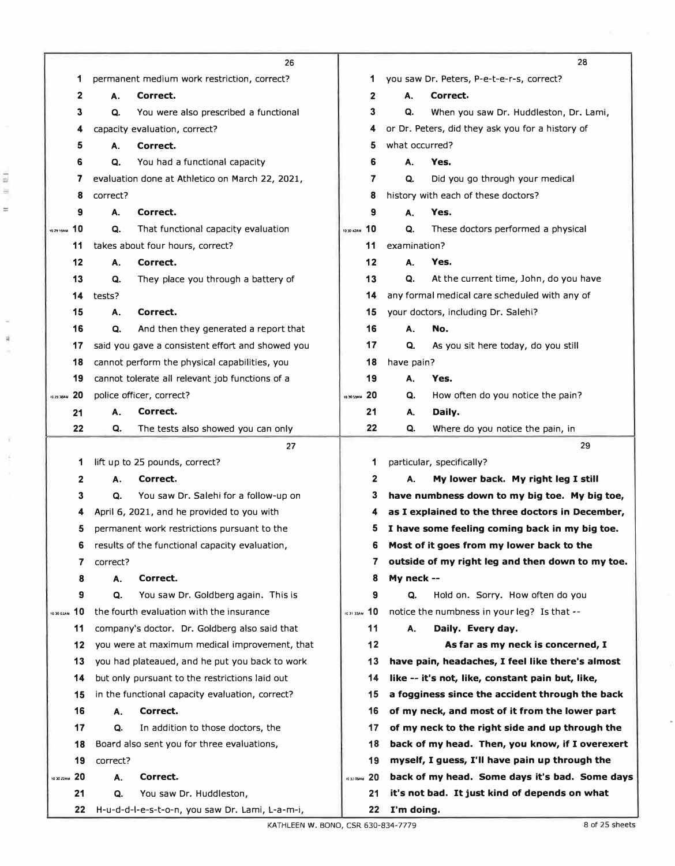|                        |          | 26                                               |                  |                | 28                                               |
|------------------------|----------|--------------------------------------------------|------------------|----------------|--------------------------------------------------|
| 1                      |          | permanent medium work restriction, correct?      | 1                |                | you saw Dr. Peters, P-e-t-e-r-s, correct?        |
| $\mathbf{2}$           | А.       | Correct.                                         | 2                | А.             | Correct.                                         |
| 3                      | Q.       | You were also prescribed a functional            | 3                | Q.             | When you saw Dr. Huddleston, Dr. Lami,           |
| 4                      |          | capacity evaluation, correct?                    | 4                |                | or Dr. Peters, did they ask you for a history of |
| 5                      | А.       | Correct.                                         | 5                | what occurred? |                                                  |
| 6                      | Q.       | You had a functional capacity                    | 6                | А.             | Yes.                                             |
| 7                      |          | evaluation done at Athletico on March 22, 2021,  | 7                | Q.             | Did you go through your medical                  |
| 8                      | correct? |                                                  | 8                |                | history with each of these doctors?              |
| 9                      | А.       | Correct.                                         | 9                | Α.             | Yes.                                             |
| 10<br>10 29 19AM       | Q.       | That functional capacity evaluation              | 10<br>10 30 42AM | Q.             | These doctors performed a physical               |
| 11                     |          | takes about four hours, correct?                 | 11               | examination?   |                                                  |
| 12                     | Α.       | Correct.                                         | 12               | А.             | Yes.                                             |
| 13                     | Q.       | They place you through a battery of              | 13               | Q.             | At the current time, John, do you have           |
| 14                     | tests?   |                                                  | 14               |                | any formal medical care scheduled with any of    |
| 15                     | Α.       | Correct.                                         | 15               |                | your doctors, including Dr. Salehi?              |
| 16                     | Q.       | And then they generated a report that            | 16               | Α.             | No.                                              |
| 17                     |          | said you gave a consistent effort and showed you | 17               | Q.             | As you sit here today, do you still              |
| 18                     |          | cannot perform the physical capabilities, you    | 18               | have pain?     |                                                  |
| 19                     |          | cannot tolerate all relevant job functions of a  | 19               | А.             | Yes.                                             |
| 20<br><b>1029 38AM</b> |          | police officer, correct?                         | 20<br>10 30 59AM | Q.             | How often do you notice the pain?                |
| 21                     | А.       | Correct.                                         | 21               | А.             | Daily.                                           |
| 22                     | Q.       | The tests also showed you can only               | 22               | Q.             | Where do you notice the pain, in                 |
|                        |          |                                                  |                  |                |                                                  |
|                        |          | 27                                               |                  |                | 29                                               |
| 1                      |          | lift up to 25 pounds, correct?                   | 1                |                | particular, specifically?                        |
| 2                      | А.       | Correct.                                         | 2                | А.             | My lower back. My right leg I still              |
| 3                      | Q.       | You saw Dr. Salehi for a follow-up on            | 3                |                | have numbness down to my big toe. My big toe,    |
| 4                      |          | April 6, 2021, and he provided to you with       | 4                |                | as I explained to the three doctors in December, |
| 5                      |          | permanent work restrictions pursuant to the      | 5                |                | I have some feeling coming back in my big toe.   |
| 6                      |          | results of the functional capacity evaluation,   | 6                |                | Most of it goes from my lower back to the        |
| 7                      | correct? |                                                  | 7                |                | outside of my right leg and then down to my toe. |
| 8                      | Α.       | Correct.                                         | 8                | My neck --     |                                                  |
| 9                      | Q.       | You saw Dr. Goldberg again. This is              | 9                | Q.             | Hold on. Sorry. How often do you                 |
| 10<br>10 30 0 2AM      |          | the fourth evaluation with the insurance         | 10<br>IO 31 33AM |                | notice the numbness in your leg? Is that --      |
| 11                     |          | company's doctor. Dr. Goldberg also said that    | 11               | А.             | Daily. Every day.                                |
| 12                     |          | you were at maximum medical improvement, that    | 12               |                | As far as my neck is concerned, I                |
| 13                     |          | you had plateaued, and he put you back to work   | 13               |                | have pain, headaches, I feel like there's almost |
| 14                     |          | but only pursuant to the restrictions laid out   | 14               |                | like -- it's not, like, constant pain but, like, |
| 15                     |          | in the functional capacity evaluation, correct?  | 15               |                | a fogginess since the accident through the back  |
| 16                     | А.       | Correct.                                         | 16               |                | of my neck, and most of it from the lower part   |
| 17                     | Q.       | In addition to those doctors, the                | 17               |                | of my neck to the right side and up through the  |
| 18                     |          | Board also sent you for three evaluations,       | 18               |                | back of my head. Then, you know, if I overexert  |
| 19                     | correct? |                                                  | 19               |                | myself, I guess, I'll have pain up through the   |
| -20<br>10 30 ZZAM      | А.       | Correct.                                         | 103209AN 20      |                | back of my head. Some days it's bad. Some days   |
| 21                     | Q.       | You saw Dr. Huddleston,                          | 21               |                | it's not bad. It just kind of depends on what    |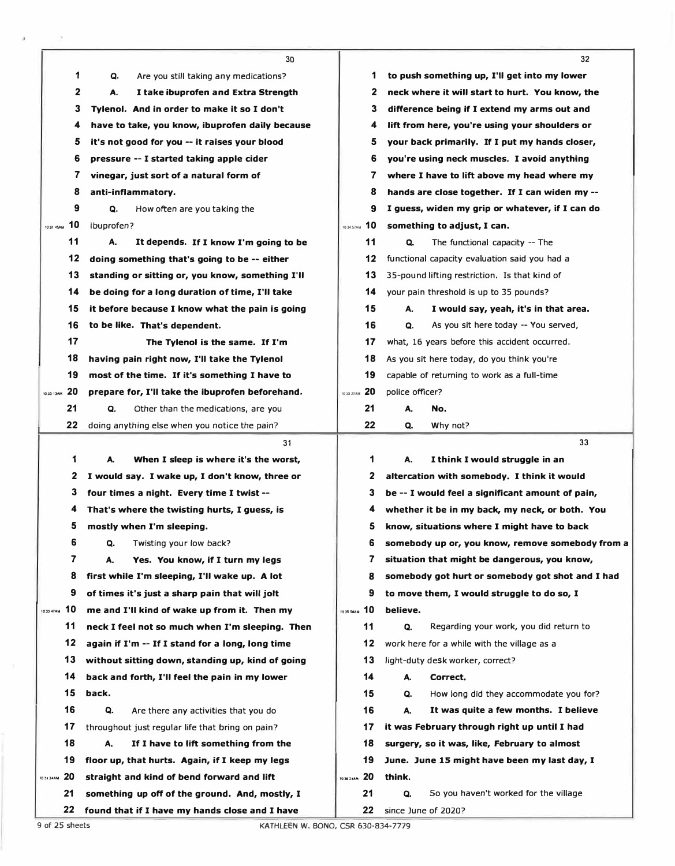|              |    | 30                                               |                  | 32                                               |
|--------------|----|--------------------------------------------------|------------------|--------------------------------------------------|
|              | 1  | Are you still taking any medications?<br>Q.      | 1                | to push something up, I'll get into my lower     |
|              | 2  | А.<br>I take ibuprofen and Extra Strength        | 2                | neck where it will start to hurt. You know, the  |
|              | 3  | Tylenol. And in order to make it so I don't      | 3                | difference being if I extend my arms out and     |
|              | 4  | have to take, you know, ibuprofen daily because  | 4                | lift from here, you're using your shoulders or   |
|              | 5  | it's not good for you -- it raises your blood    | 5                | your back primarily. If I put my hands closer,   |
|              | 6  | pressure -- I started taking apple cider         | 6                | you're using neck muscles. I avoid anything      |
|              | 7  | vinegar, just sort of a natural form of          | 7                | where I have to lift above my head where my      |
|              | 8  | anti-inflammatory.                               | 8                | hands are close together. If I can widen my --   |
|              | 9  | Q.<br>How often are you taking the               | 9                | I guess, widen my grip or whatever, if I can do  |
| 1032 45AM 10 |    | ibuprofen?                                       | 1034 57AM 10     | something to adjust, I can.                      |
|              | 11 | А.<br>It depends. If I know I'm going to be      | 11               | The functional capacity -- The<br>Q.             |
|              | 12 | doing something that's going to be -- either     | 12               | functional capacity evaluation said you had a    |
|              | 13 | standing or sitting or, you know, something I'll | 13               | 35-pound lifting restriction. Is that kind of    |
|              | 14 | be doing for a long duration of time, I'll take  | 14               | your pain threshold is up to 35 pounds?          |
|              | 15 | it before because I know what the pain is going  | 15               | А.<br>I would say, yeah, it's in that area.      |
|              | 16 | to be like. That's dependent.                    | 16               | Q.<br>As you sit here today -- You served,       |
|              | 17 | The Tylenol is the same. If I'm                  | 17               | what, 16 years before this accident occurred.    |
|              | 18 | having pain right now, I'll take the Tylenol     | 18               | As you sit here today, do you think you're       |
|              | 19 | most of the time. If it's something I have to    | 19               | capable of returning to work as a full-time      |
| MAC / CC 01  | 20 | prepare for, I'll take the ibuprofen beforehand. | 10 35 27 AM 20   | police officer?                                  |
|              | 21 | Q.<br>Other than the medications, are you        | 21               | No.<br>А.                                        |
|              | 22 | doing anything else when you notice the pain?    | 22               | Why not?<br>Q.                                   |
|              |    | 31                                               |                  | 33                                               |
|              | 1  | A.<br>When I sleep is where it's the worst,      | 1                | I think I would struggle in an<br>A.             |
|              | 2  | I would say. I wake up, I don't know, three or   | 2                | altercation with somebody. I think it would      |
|              | 3  | four times a night. Every time I twist --        | 3                | be -- I would feel a significant amount of pain, |
|              | 4  | That's where the twisting hurts, I guess, is     | 4                | whether it be in my back, my neck, or both. You  |
|              | 5  | mostly when I'm sleeping.                        | 5                | know, situations where I might have to back      |
|              | 6  | Q.<br>Twisting your low back?                    | 6                | somebody up or, you know, remove somebody from a |
|              | 7  | А.<br>Yes. You know, if I turn my legs           | 7                | situation that might be dangerous, you know,     |
|              | 8  | first while I'm sleeping, I'll wake up. A lot    | 8                | somebody got hurt or somebody got shot and I had |
|              | 9  | of times it's just a sharp pain that will jolt   | 9                | to move them, I would struggle to do so, I       |
| 1033 47AM 10 |    | me and I'll kind of wake up from it. Then my     | 10 35 58AM 10    | believe.                                         |
|              | 11 | neck I feel not so much when I'm sleeping. Then  | 11               | Q.<br>Regarding your work, you did return to     |
|              | 12 | again if I'm -- If I stand for a long, long time | 12               | work here for a while with the village as a      |
|              | 13 | without sitting down, standing up, kind of going | 13               | light-duty desk worker, correct?                 |
|              | 14 | back and forth, I'll feel the pain in my lower   | 14               | А.<br>Correct.                                   |
|              | 15 | back.                                            | 15               | How long did they accommodate you for?<br>Q.     |
|              | 16 | Q.<br>Are there any activities that you do       | 16               | It was quite a few months. I believe<br>А.       |
|              | 17 | throughout just regular life that bring on pain? | 17               | it was February through right up until I had     |
|              | 18 | А.<br>If I have to lift something from the       | 18               | surgery, so it was, like, February to almost     |
|              |    |                                                  |                  |                                                  |
|              | 19 | floor up, that hurts. Again, if I keep my legs   | 19               | June. June 15 might have been my last day, I     |
| 10 34 24AM   | 20 | straight and kind of bend forward and lift       | 20<br>10 36 24AM | think.                                           |
|              | 21 | something up off of the ground. And, mostly, I   | 21               | Q.<br>So you haven't worked for the village      |

 $\bar{\sigma}$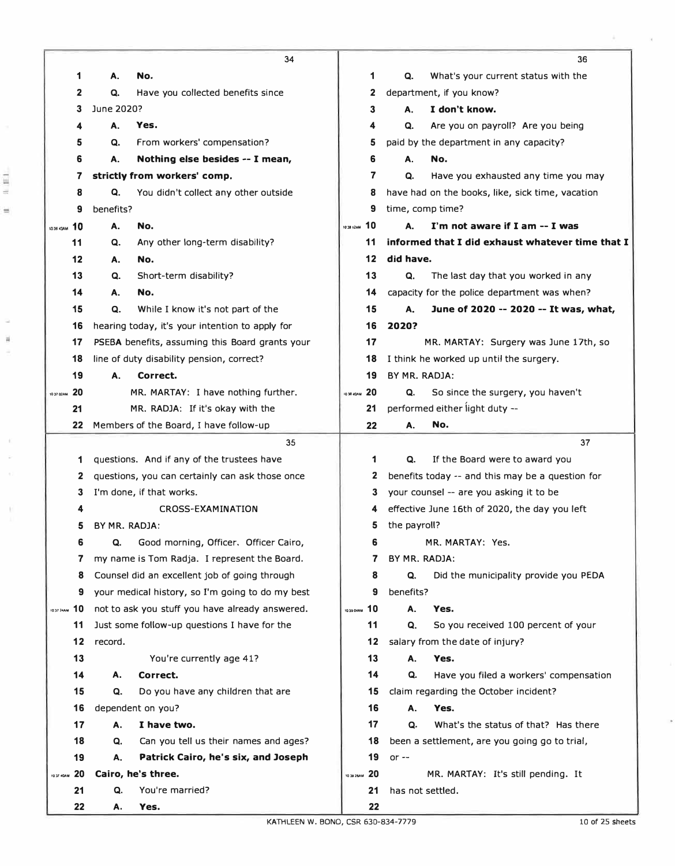|                        | 34                                               |                  | 36                                               |
|------------------------|--------------------------------------------------|------------------|--------------------------------------------------|
| 1                      | No.<br>А.                                        | 1                | Q.<br>What's your current status with the        |
| 2                      | Have you collected benefits since<br>Q.          | 2                | department, if you know?                         |
| 3                      | June 2020?                                       | 3                | I don't know.<br>А.                              |
| 4                      | А.<br>Yes.                                       | 4                | Q.<br>Are you on payroll? Are you being          |
| 5                      | From workers' compensation?<br>Q.                | 5                | paid by the department in any capacity?          |
| 6                      | А.<br>Nothing else besides -- I mean,            | 6                | А.<br>No.                                        |
| 7                      | strictly from workers' comp.                     | 7                | Q.<br>Have you exhausted any time you may        |
| 8                      | Q.<br>You didn't collect any other outside       | 8                | have had on the books, like, sick time, vacation |
| 9                      | benefits?                                        | 9                | time, comp time?                                 |
| 10<br>1036 43AM        | Α.<br>No.                                        | 10<br>10:38 12AM | I'm not aware if I am -- I was<br>А.             |
| 11                     | Q.<br>Any other long-term disability?            | 11               | informed that I did exhaust whatever time that I |
| 12                     | No.<br>Α.                                        | 12               | did have.                                        |
| 13                     | Q.<br>Short-term disability?                     | 13               | Q.<br>The last day that you worked in any        |
| 14                     | А.<br>No.                                        | 14               | capacity for the police department was when?     |
| 15                     | Q.<br>While I know it's not part of the          | 15               | А.<br>June of 2020 -- 2020 -- It was, what,      |
| 16                     | hearing today, it's your intention to apply for  | 16               | 2020?                                            |
| 17                     | PSEBA benefits, assuming this Board grants your  | 17               | MR. MARTAY: Surgery was June 17th, so            |
| 18                     | line of duty disability pension, correct?        | 18               | I think he worked up until the surgery.          |
| 19                     | Α.<br>Correct.                                   | 19               | BY MR. RADJA:                                    |
| 20<br>10 37 02AM       | MR. MARTAY: I have nothing further.              | 10 38 40AM 20    | So since the surgery, you haven't<br>Q.          |
| 21                     | MR. RADJA: If it's okay with the                 | 21               | performed either light duty --                   |
| 22                     | Members of the Board, I have follow-up           | 22               | No.<br>А.                                        |
|                        | 35                                               |                  | 37                                               |
| 1                      | questions. And if any of the trustees have       | 1                | Q.<br>If the Board were to award you             |
| 2                      | questions, you can certainly can ask those once  | 2                | benefits today -- and this may be a question for |
| 3                      | I'm done, if that works.                         | 3                | your counsel -- are you asking it to be          |
| 4                      | <b>CROSS-EXAMINATION</b>                         |                  | effective June 16th of 2020, the day you left    |
| 5                      | BY MR. RADJA:                                    | 5                | the payroll?                                     |
| 6                      | Good morning, Officer. Officer Cairo,<br>Q.      | 6                | MR. MARTAY: Yes.                                 |
| 7                      | my name is Tom Radja. I represent the Board.     | 7                | BY MR. RADJA:                                    |
| 8                      | Counsel did an excellent job of going through    | 8                | Did the municipality provide you PEDA<br>Q.      |
| 9                      | your medical history, so I'm going to do my best | 9                | benefits?                                        |
| 10<br><b>ID37 24AM</b> | not to ask you stuff you have already answered.  | 1039 DIAN 10     | Yes.<br>А.                                       |
| 11                     | Just some follow-up questions I have for the     | 11               | Q.<br>So you received 100 percent of your        |
| 12                     | record.                                          | 12               | salary from the date of injury?                  |
| 13                     | You're currently age 41?                         | 13               | Yes.<br>Α.                                       |
| 14                     | Correct.<br>Α.                                   | 14               | Have you filed a workers' compensation<br>Q.     |
| 15                     | Q.<br>Do you have any children that are          | 15               | claim regarding the October incident?            |
| 16                     | dependent on you?                                | 16               | Yes.<br>А.                                       |
| 17                     | I have two.<br>А.                                | 17               | What's the status of that? Has there<br>Q.       |
| 18                     | Can you tell us their names and ages?<br>Q.      | 18               | been a settlement, are you going go to trial,    |
| 19                     | Patrick Cairo, he's six, and Joseph<br>А.        | 19               | or $-$                                           |
| 20<br>10 37 40AM       | Cairo, he's three.                               | 10 39 Z&AM 20    | MR. MARTAY: It's still pending. It               |
| 21                     | Q.<br>You're married?                            | 21               | has not settled.                                 |
| 22                     | Yes.<br>А.                                       | 22               |                                                  |

A.

 $\langle \psi \rangle$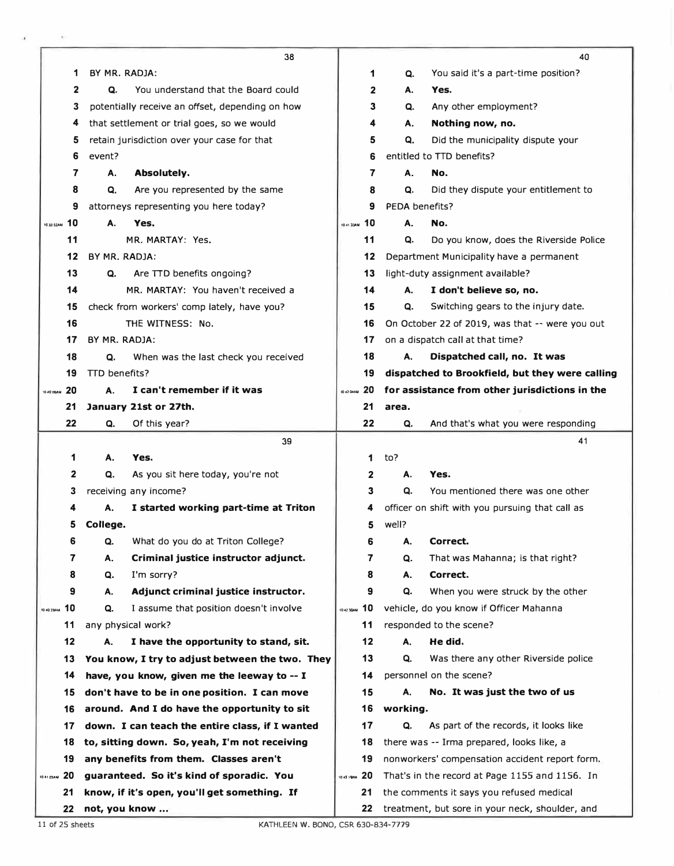|                  |               | 38                                              |               |                | 40                                              |
|------------------|---------------|-------------------------------------------------|---------------|----------------|-------------------------------------------------|
| 1                | BY MR. RADJA: |                                                 | 1             | Q.             | You said it's a part-time position?             |
| $\mathbf{2}$     | Q.            | You understand that the Board could             | $\mathbf{2}$  | А.             | Yes.                                            |
| 3                |               | potentially receive an offset, depending on how | 3             | Q.             | Any other employment?                           |
| 4                |               | that settlement or trial goes, so we would      | 4             | А.             | Nothing now, no.                                |
| 5                |               | retain jurisdiction over your case for that     | 5             | Q.             | Did the municipality dispute your               |
| 6                | event?        |                                                 | 6             |                | entitled to TTD benefits?                       |
| 7                | А.            | Absolutely.                                     | 7             | А.             | No.                                             |
| 8                | Q.            | Are you represented by the same                 | 8             | Q.             | Did they dispute your entitlement to            |
| 9                |               | attorneys representing you here today?          | 9             | PEDA benefits? |                                                 |
| 10 39 52AM 10    | А.            | Yes.                                            | 10 41 33AM 10 | А.             | No.                                             |
| 11               |               | MR. MARTAY: Yes.                                | 11            | Q.             | Do you know, does the Riverside Police          |
| 12               | BY MR, RADJA: |                                                 | 12            |                | Department Municipality have a permanent        |
| 13               | Q.            | Are TTD benefits ongoing?                       | 13            |                | light-duty assignment available?                |
| 14               |               | MR. MARTAY: You haven't received a              | 14            | А.             | I don't believe so, no.                         |
| 15               |               | check from workers' comp lately, have you?      | 15            | Q.             | Switching gears to the injury date.             |
| 16               |               | THE WITNESS: No.                                | 16            |                | On October 22 of 2019, was that -- were you out |
| 17               | BY MR. RADJA: |                                                 | 17            |                | on a dispatch call at that time?                |
| 18               | Q.            | When was the last check you received            | 18            | А.             | Dispatched call, no. It was                     |
| 19               | TTD benefits? |                                                 | 19            |                | dispatched to Brookfield, but they were calling |
| 20<br>10 40 05AM | А.            | I can't remember if it was                      | 1042 DAM 20   |                | for assistance from other jurisdictions in the  |
| 21               |               | January 21st or 27th.                           | 21            | area.          |                                                 |
| 22               | Q.            | Of this year?                                   | 22            | Q.             | And that's what you were responding             |
|                  |               | 39                                              |               |                | 41                                              |
| 1                | А.            | Yes.                                            | 1             | to?            |                                                 |
| 2                | Q.            | As you sit here today, you're not               | 2             | А.             | Yes.                                            |
| 3                |               | receiving any income?                           | 3             | Q.             | You mentioned there was one other               |
|                  | А.            | I started working part-time at Triton           | 4             |                | officer on shift with you pursuing that call as |
| 5                | College.      |                                                 | 5             | well?          |                                                 |
| 6                | Q.            | What do you do at Triton College?               | 6             | А.             | Correct.                                        |
| 7                | А.            | Criminal justice instructor adjunct.            | 7             | Q.             | That was Mahanna; is that right?                |
| 8                | Q.            | I'm sorry?                                      | 8             | А.             | Correct.                                        |
| 9                | Α.            | Adjunct criminal justice instructor.            | 9             | Q.             | When you were struck by the other               |
| 10<br>10 40 29AM | Q.            | I assume that position doesn't involve          | 10 42 30AM 10 |                | vehicle, do you know if Officer Mahanna         |
| 11               |               | any physical work?                              | 11            |                | responded to the scene?                         |
| 12               | А.            | I have the opportunity to stand, sit.           | 12            | А.             | He did.                                         |
| 13               |               | You know, I try to adjust between the two. They | 13            | Q.             | Was there any other Riverside police            |
| 14               |               | have, you know, given me the leeway to -- I     | 14            |                | personnel on the scene?                         |
| 15               |               | don't have to be in one position. I can move    | 15            | А.             | No. It was just the two of us                   |
| 16               |               | around. And I do have the opportunity to sit    | 16            | working.       |                                                 |
| 17               |               |                                                 |               |                |                                                 |
|                  |               | down. I can teach the entire class, if I wanted | 17            | Q.             | As part of the records, it looks like           |
| 18               |               | to, sitting down. So, yeah, I'm not receiving   | 18            |                | there was -- Irma prepared, looks like, a       |
| 19               |               | any benefits from them. Classes aren't          | 19            |                | nonworkers' compensation accident report form.  |
| 10 41 03AM 20    |               | guaranteed. So it's kind of sporadic. You       | 1043 19AM 20  |                | That's in the record at Page 1155 and 1156. In  |
| 21               |               | know, if it's open, you'll get something. If    | 21            |                | the comments it says you refused medical        |

11 of 25 sheets KATHLEEN W. BONO, CSR 630-834-7779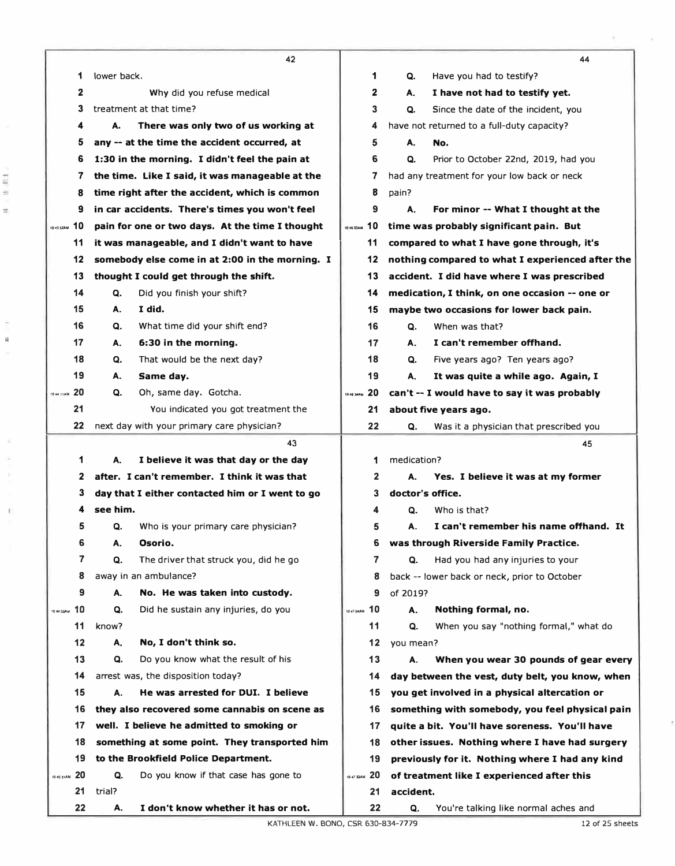|            |     | 42                                              |                   | 44                                               |
|------------|-----|-------------------------------------------------|-------------------|--------------------------------------------------|
|            | 1   | lower back.                                     | 1                 | Q.<br>Have you had to testify?                   |
|            | 2   | Why did you refuse medical                      | 2                 | I have not had to testify yet.<br>А.             |
|            | 3   | treatment at that time?                         | 3                 | Q.<br>Since the date of the incident, you        |
|            | 4   | There was only two of us working at<br>А.       | 4                 | have not returned to a full-duty capacity?       |
|            | 5   | any -- at the time the accident occurred, at    | 5                 | А.<br>No.                                        |
|            | 6   | 1:30 in the morning. I didn't feel the pain at  | 6                 | Prior to October 22nd, 2019, had you<br>Q.       |
|            | 7   | the time. Like I said, it was manageable at the | 7                 | had any treatment for your low back or neck      |
|            | 8   | time right after the accident, which is common  | 8                 | pain?                                            |
|            | 9   | in car accidents. There's times you won't feel  | 9                 | А.<br>For minor -- What I thought at the         |
| 104352AM   | 10  | pain for one or two days. At the time I thought | 1045 03 AM 10     | time was probably significant pain. But          |
|            | 11  | it was manageable, and I didn't want to have    | 11                | compared to what I have gone through, it's       |
|            | 12  | somebody else come in at 2:00 in the morning. I | 12                | nothing compared to what I experienced after the |
|            | 13  | thought I could get through the shift.          | 13                | accident. I did have where I was prescribed      |
|            | 14  | Did you finish your shift?<br>Q.                | 14                | medication, I think, on one occasion -- one or   |
|            | 15  | I did.<br>А.                                    | 15                | maybe two occasions for lower back pain.         |
|            | 16  | What time did your shift end?<br>Q.             | 16                | When was that?<br>Q.                             |
|            | 17  | 6:30 in the morning.<br>А.                      | 17                | I can't remember offhand.<br>А.                  |
|            | 18  | That would be the next day?<br>Q.               | 18                | Q.<br>Five years ago? Ten years ago?             |
|            | 19  | А.<br>Same day.                                 | 19                | А.<br>It was quite a while ago. Again, I         |
| 10-44-11AM | 20  | Oh, same day. Gotcha.<br>Q.                     | 20<br>10 46 34AM  | can't -- I would have to say it was probably     |
|            | 21  | You indicated you got treatment the             | 21                | about five years ago.                            |
|            | 22  | next day with your primary care physician?      | 22                | Q.<br>Was it a physician that prescribed you     |
|            |     | 43                                              |                   | 45                                               |
|            | 1   | I believe it was that day or the day<br>А.      | 1                 | medication?                                      |
|            | 2   | after. I can't remember. I think it was that    | 2                 | Yes. I believe it was at my former<br>А.         |
|            | 3   | day that I either contacted him or I went to go | 3                 | doctor's office.                                 |
|            | 4   | see him.                                        | 4                 | Who is that?<br>Q.                               |
|            | 5   | Who is your primary care physician?<br>Q.       | 5                 | I can't remember his name offhand. It<br>А.      |
|            | 6   | Osorio.<br>Α.                                   | 6                 | was through Riverside Family Practice.           |
|            | 7   | Q.<br>The driver that struck you, did he go     | 7                 | Had you had any injuries to your<br>Q.           |
|            | 8   | away in an ambulance?                           | 8                 | back -- lower back or neck, prior to October     |
|            | 9   | А.<br>No. He was taken into custody.            | 9                 | of 2019?                                         |
| 10 44 SSAM | 10  | Q.<br>Did he sustain any injuries, do you       | 10<br>10 47 04 AM | Nothing formal, no.<br>А.                        |
|            | 11  | know?                                           | 11                | When you say "nothing formal," what do<br>Q.     |
|            | 12  | Α.<br>No, I don't think so.                     | 12                | you mean?                                        |
|            | 13  | Do you know what the result of his<br>Q.        | 13                | When you wear 30 pounds of gear every<br>А.      |
|            | 14  | arrest was, the disposition today?              | 14                | day between the vest, duty belt, you know, when  |
|            | 15  | А.<br>He was arrested for DUI. I believe        | 15                | you get involved in a physical altercation or    |
|            | 16  | they also recovered some cannabis on scene as   | 16                | something with somebody, you feel physical pain  |
|            | 17  | well. I believe he admitted to smoking or       | 17                | quite a bit. You'll have soreness. You'll have   |
|            | 18  | something at some point. They transported him   | 18                | other issues. Nothing where I have had surgery   |
|            | 19  | to the Brookfield Police Department.            | 19                | previously for it. Nothing where I had any kind  |
|            |     |                                                 |                   |                                                  |
| ID 45 31AM | -20 | Q.<br>Do you know if that case has gone to      | 1047 33AM 20      | of treatment like I experienced after this       |
|            | 21  | trial?                                          | 21                | accident.                                        |

l.

è

Ï.

 $\mathbb{R}^3$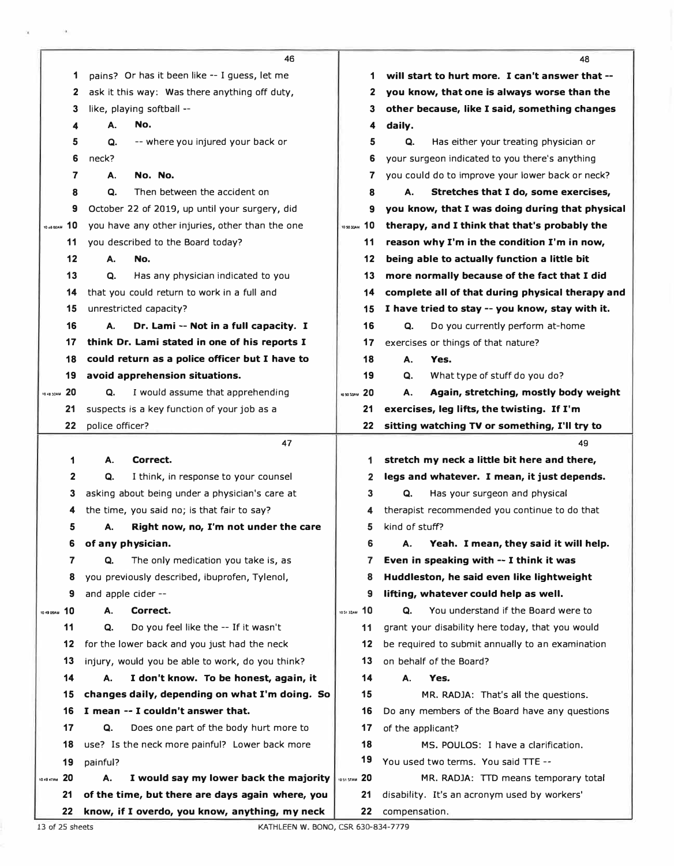|             |          |                 | 46                                                                                  |               |                   | 48                                               |
|-------------|----------|-----------------|-------------------------------------------------------------------------------------|---------------|-------------------|--------------------------------------------------|
|             | 1        |                 | pains? Or has it been like -- I guess, let me                                       | 1             |                   | will start to hurt more. I can't answer that --  |
|             | 2        |                 | ask it this way: Was there anything off duty,                                       | 2             |                   | you know, that one is always worse than the      |
|             | 3        |                 | like, playing softball --                                                           | З             |                   | other because, like I said, something changes    |
|             | 4        | А.              | No.                                                                                 | 4             | daily.            |                                                  |
|             | 5        | Q.              | -- where you injured your back or                                                   | 5             | Q.                | Has either your treating physician or            |
|             | 6        | neck?           |                                                                                     | 6             |                   | your surgeon indicated to you there's anything   |
|             | 7        | А.              | No. No.                                                                             | 7             |                   | you could do to improve your lower back or neck? |
|             | 8        | Q.              | Then between the accident on                                                        | 8             | А.                | Stretches that I do, some exercises,             |
|             | 9        |                 | October 22 of 2019, up until your surgery, did                                      | 9             |                   | you know, that I was doing during that physical  |
| 10 48 00 AM | 10       |                 | you have any other injuries, other than the one                                     | 105030AM 10   |                   | therapy, and I think that that's probably the    |
|             | 11       |                 | you described to the Board today?                                                   | 11            |                   | reason why I'm in the condition I'm in now,      |
|             | 12       | А.              | No.                                                                                 | 12            |                   | being able to actually function a little bit     |
|             | 13       | Q.              | Has any physician indicated to you                                                  | 13            |                   | more normally because of the fact that I did     |
|             | 14       |                 | that you could return to work in a full and                                         | 14            |                   | complete all of that during physical therapy and |
|             | 15       |                 | unrestricted capacity?                                                              | 15            |                   | I have tried to stay -- you know, stay with it.  |
|             | 16       | А.              | Dr. Lami -- Not in a full capacity. I                                               | 16            | Q.                | Do you currently perform at-home                 |
|             | 17       |                 | think Dr. Lami stated in one of his reports I                                       | 17            |                   | exercises or things of that nature?              |
|             | 18       |                 | could return as a police officer but I have to                                      | 18            | А.                | Yes.                                             |
|             | 19       |                 | avoid apprehension situations.                                                      | 19            | Q.                | What type of stuff do you do?                    |
| 10 48 32AM  | -20      | Q.              | I would assume that apprehending                                                    | 10 50 53AM 20 | А.                | Again, stretching, mostly body weight            |
|             | 21       |                 | suspects is a key function of your job as a                                         | 21            |                   | exercises, leg lifts, the twisting. If I'm       |
|             | 22       | police officer? |                                                                                     | 22            |                   | sitting watching TV or something, I'll try to    |
|             |          |                 | 47                                                                                  |               |                   | 49                                               |
|             | 1        | А.              | Correct.                                                                            | 1             |                   | stretch my neck a little bit here and there,     |
|             | 2        | Q.              | I think, in response to your counsel                                                | 2             |                   | legs and whatever. I mean, it just depends.      |
|             | 3        |                 | asking about being under a physician's care at                                      | 3             | Q.                | Has your surgeon and physical                    |
|             | 4        |                 | the time, you said no; is that fair to say?                                         | 4             |                   | therapist recommended you continue to do that    |
|             | 5        | А.              | Right now, no, I'm not under the care                                               | 5             | kind of stuff?    |                                                  |
|             | 6        |                 | of any physician.                                                                   | 6             | А.                | Yeah. I mean, they said it will help.            |
|             | 7        | Q.              | The only medication you take is, as                                                 | 7             |                   | Even in speaking with -- I think it was          |
|             | 8        |                 | you previously described, ibuprofen, Tylenol,                                       | 8             |                   | Huddleston, he said even like lightweight        |
|             | 9        |                 | and apple cider --                                                                  | 9             |                   | lifting, whatever could help as well.            |
| 10 49 DSAM  | 10       | А.              | Correct.                                                                            | 105132AM 10   | Q.                | You understand if the Board were to              |
|             | 11       | Q.              | Do you feel like the -- If it wasn't                                                | 11            |                   | grant your disability here today, that you would |
|             | 12       |                 | for the lower back and you just had the neck                                        | 12            |                   | be required to submit annually to an examination |
|             | 13       |                 | injury, would you be able to work, do you think?                                    | 13            |                   | on behalf of the Board?                          |
|             | 14       | А.              | I don't know. To be honest, again, it                                               | 14            | А.                | Yes.                                             |
|             | 15       |                 | changes daily, depending on what I'm doing. So<br>I mean -- I couldn't answer that. | 15<br>16      |                   | MR. RADJA: That's all the questions.             |
|             | 16       |                 |                                                                                     |               |                   | Do any members of the Board have any questions   |
|             | 17<br>18 | Q.              | Does one part of the body hurt more to                                              | 17<br>18      | of the applicant? | MS. POULOS: I have a clarification.              |
|             |          |                 | use? Is the neck more painful? Lower back more                                      | 19            |                   | You used two terms. You said TTE --              |
| 104947AM    | 19<br>20 | painful?<br>А.  | I would say my lower back the majority                                              | 1051 57AM 20  |                   | MR. RADJA: TTD means temporary total             |
|             | 21       |                 | of the time, but there are days again where, you                                    | 21            |                   | disability. It's an acronym used by workers'     |
|             | 22       |                 | know, if I overdo, you know, anything, my neck                                      | 22            | compensation.     |                                                  |
|             |          |                 |                                                                                     |               |                   |                                                  |

ý,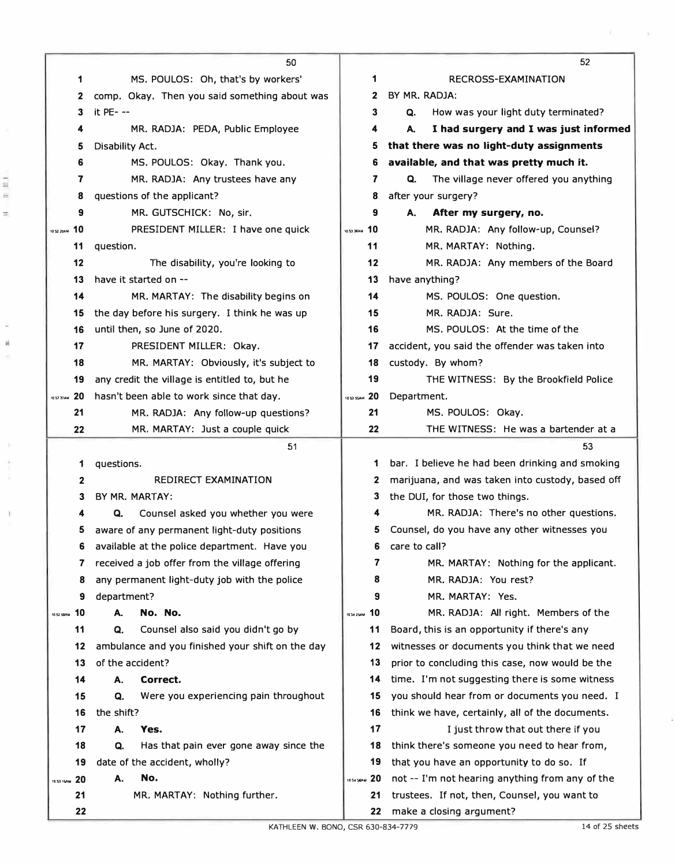|                   | 50                                               |               | 52                                                                       |
|-------------------|--------------------------------------------------|---------------|--------------------------------------------------------------------------|
| 1                 | MS. POULOS: Oh, that's by workers'               | 1             | RECROSS-EXAMINATION                                                      |
| 2                 | comp. Okay. Then you said something about was    | $\mathbf{2}$  | BY MR. RADJA:                                                            |
| 3                 | it PE- --                                        | 3             | How was your light duty terminated?<br>Q.                                |
| 4                 | MR. RADJA: PEDA, Public Employee                 | 4             | А.<br>I had surgery and I was just informed                              |
| 5                 | Disability Act.                                  | 5             | that there was no light-duty assignments                                 |
| 6                 | MS. POULOS: Okay. Thank you.                     | 6             | available, and that was pretty much it.                                  |
| 7                 | MR. RADJA: Any trustees have any                 | 7             | The village never offered you anything<br>Q.                             |
| 8                 | questions of the applicant?                      | 8             | after your surgery?                                                      |
| 9                 | MR. GUTSCHICK: No, sir.                          | 9             | А.<br>After my surgery, no.                                              |
| -10<br>10 52 20AM | PRESIDENT MILLER: I have one quick               | 10 S3 38AM 10 | MR. RADJA: Any follow-up, Counsel?                                       |
| 11                | question.                                        | 11            | MR. MARTAY: Nothing.                                                     |
| 12                | The disability, you're looking to                | 12            | MR. RADJA: Any members of the Board                                      |
| 13                | have it started on --                            | 13            | have anything?                                                           |
| 14                | MR. MARTAY: The disability begins on             | 14            | MS. POULOS: One question.                                                |
| 15                | the day before his surgery. I think he was up    | 15            | MR. RADJA: Sure.                                                         |
| 16                | until then, so June of 2020.                     | 16            | MS. POULOS: At the time of the                                           |
| 17                | PRESIDENT MILLER: Okay.                          | 17            | accident, you said the offender was taken into                           |
| 18                | MR. MARTAY: Obviously, it's subject to           | 18            | custody. By whom?                                                        |
| 19                | any credit the village is entitled to, but he    | 19            | THE WITNESS: By the Brookfield Police                                    |
| 20<br>IO 52 37AM  | hasn't been able to work since that day.         | 10 53 55AM 20 | Department.                                                              |
| 21                | MR. RADJA: Any follow-up questions?              | 21            | MS. POULOS: Okay.                                                        |
| 22                | MR. MARTAY: Just a couple quick                  | 22            | THE WITNESS: He was a bartender at a                                     |
|                   |                                                  |               |                                                                          |
|                   | 51                                               |               | 53                                                                       |
| 1                 | questions.                                       | 1             | bar. I believe he had been drinking and smoking                          |
| $\mathbf{2}$      | REDIRECT EXAMINATION                             | 2             | marijuana, and was taken into custody, based off                         |
| 3                 | BY MR. MARTAY:                                   | 3             | the DUI, for those two things.                                           |
| 4                 | Counsel asked you whether you were<br>Q.         | 4             | MR. RADJA: There's no other questions.                                   |
| 5                 | aware of any permanent light-duty positions      | 5.            | Counsel, do you have any other witnesses you                             |
| 6                 | available at the police department. Have you     | 6             | care to call?                                                            |
| 7                 | received a job offer from the village offering   | 7             | MR. MARTAY: Nothing for the applicant.                                   |
| 8                 | any permanent light-duty job with the police     | 8             | MR. RADJA: You rest?                                                     |
| 9                 | department?                                      | 9             | MR. MARTAY: Yes.                                                         |
| 10<br>1052 59AM   | No. No.<br>А.                                    | 1054254M 10   | MR. RADJA: All right. Members of the                                     |
| 11                | Counsel also said you didn't go by<br>Q.         | 11            | Board, this is an opportunity if there's any                             |
| 12                | ambulance and you finished your shift on the day | 12            | witnesses or documents you think that we need                            |
| 13                | of the accident?                                 | 13            | prior to concluding this case, now would be the                          |
| 14                | Correct.<br>А.                                   | 14            | time. I'm not suggesting there is some witness                           |
| 15                | Q.<br>Were you experiencing pain throughout      | 15            | you should hear from or documents you need. I                            |
| 16                | the shift?                                       | 16            | think we have, certainly, all of the documents.                          |
| 17                | Yes.<br>А.                                       | 17            | I just throw that out there if you                                       |
| 18                | Has that pain ever gone away since the<br>Q.     | 18            | think there's someone you need to hear from,                             |
| 19                | date of the accident, wholly?                    | 19            | that you have an opportunity to do so. If                                |
| 105315AM 20       | No.<br>А.                                        | 1054 SEAM 20  | not -- I'm not hearing anything from any of the                          |
| 21                | MR. MARTAY: Nothing further.                     | 21            | trustees. If not, then, Counsel, you want to<br>make a closing argument? |

į

ř.

Ű.

 $\mathbb{R}.$ 

 $\overline{\psi}$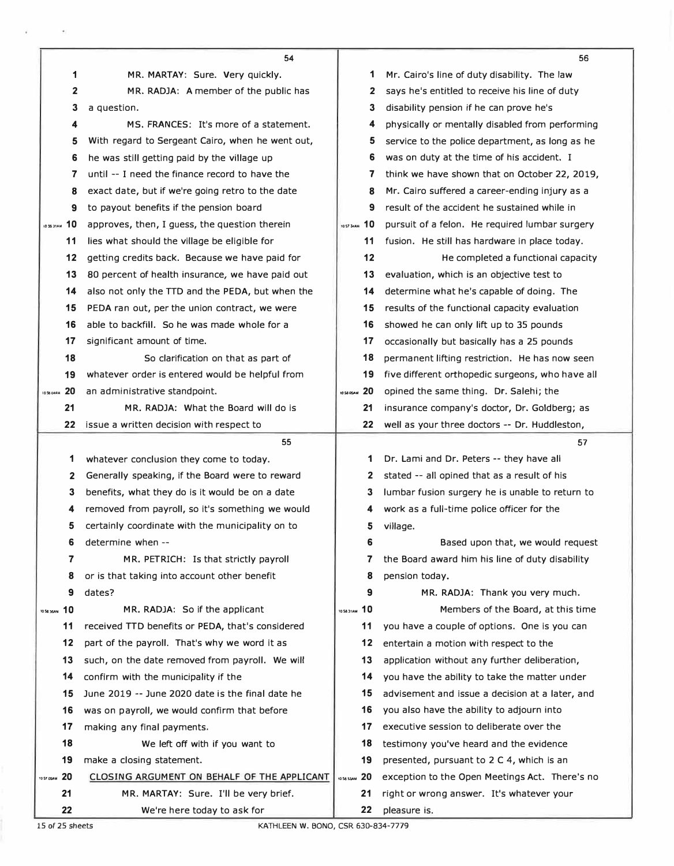|                          | 54                                                                   |                  | 56                                                        |
|--------------------------|----------------------------------------------------------------------|------------------|-----------------------------------------------------------|
| 1                        | MR. MARTAY: Sure. Very quickly.                                      | 1                | Mr. Cairo's line of duty disability. The law              |
| $\mathbf{2}$             | MR. RADJA: A member of the public has                                | 2                | says he's entitled to receive his line of duty            |
| 3                        | a question.                                                          | 3                | disability pension if he can prove he's                   |
| 4                        | MS, FRANCES: It's more of a statement.                               | 4                | physically or mentally disabled from performing           |
| 5                        | With regard to Sergeant Cairo, when he went out,                     | 5                | service to the police department, as long as he           |
| 6                        | he was still getting paid by the village up                          | 6                | was on duty at the time of his accident. I                |
| 7                        | until -- I need the finance record to have the                       | 7                | think we have shown that on October 22, 2019,             |
| 8                        | exact date, but if we're going retro to the date                     | 8                | Mr. Cairo suffered a career-ending injury as a            |
| 9                        | to payout benefits if the pension board                              | 9                | result of the accident he sustained while in              |
| <b>10 MARG 20</b>        | approves, then, I guess, the question therein                        | 1057 34AM 10     | pursuit of a felon. He required lumbar surgery            |
| 11                       | lies what should the village be eligible for                         | 11               | fusion. He still has hardware in place today.             |
| 12                       | getting credits back. Because we have paid for                       | 12               | He completed a functional capacity                        |
| 13                       | 80 percent of health insurance, we have paid out                     | 13               | evaluation, which is an objective test to                 |
| 14                       | also not only the TTD and the PEDA, but when the                     | 14               | determine what he's capable of doing. The                 |
| 15                       | PEDA ran out, per the union contract, we were                        | 15               | results of the functional capacity evaluation             |
| 16                       | able to backfill. So he was made whole for a                         | 16               | showed he can only lift up to 35 pounds                   |
| 17                       | significant amount of time.                                          | 17               | occasionally but basically has a 25 pounds                |
| 18                       | So clarification on that as part of                                  | 18               | permanent lifting restriction. He has now seen            |
| 19                       | whatever order is entered would be helpful from                      | 19               | five different orthopedic surgeons, who have all          |
| 20<br><b>10 56 04 AM</b> | an administrative standpoint.                                        | 20<br>10 58 05AM | opined the same thing. Dr. Salehi; the                    |
| 21                       | MR. RADJA: What the Board will do is                                 | 21               | insurance company's doctor, Dr. Goldberg; as              |
| 22                       | issue a written decision with respect to                             | 22               | well as your three doctors -- Dr. Huddleston,             |
|                          |                                                                      |                  |                                                           |
|                          | 55                                                                   |                  | 57                                                        |
| 1                        | whatever conclusion they come to today.                              | 1                | Dr. Lami and Dr. Peters -- they have all                  |
| 2                        | Generally speaking, if the Board were to reward                      | $\mathbf{2}$     | stated -- all opined that as a result of his              |
| 3                        | benefits, what they do is it would be on a date                      | 3                | lumbar fusion surgery he is unable to return to           |
| 4                        | removed from payroll, so it's something we would                     | 4                | work as a full-time police officer for the                |
| 5                        | certainly coordinate with the municipality on to                     | 5                | village.                                                  |
| 6                        | determine when --                                                    | 6                | Based upon that, we would request                         |
| 7                        | MR. PETRICH: Is that strictly payroll                                | 7                | the Board award him his line of duty disability           |
| 8                        | or is that taking into account other benefit                         | 8                | pension today.                                            |
| 9                        | dates?                                                               | 9                | MR. RADJA: Thank you very much.                           |
| 10 56 35AM 10            | MR. RADJA: So if the applicant                                       | 105831AM 10      | Members of the Board, at this time                        |
| 11                       | received TTD benefits or PEDA, that's considered                     | 11               | you have a couple of options. One is you can              |
| 12                       | part of the payroll. That's why we word it as                        | 12               | entertain a motion with respect to the                    |
| 13                       | such, on the date removed from payroll. We will                      | 13               | application without any further deliberation,             |
| 14                       | confirm with the municipality if the                                 | 14               | you have the ability to take the matter under             |
| 15                       | June 2019 -- June 2020 date is the final date he                     | 15               | advisement and issue a decision at a later, and           |
| 16                       | was on payroll, we would confirm that before                         | 16               | you also have the ability to adjourn into                 |
| 17                       | making any final payments.                                           | 17               | executive session to deliberate over the                  |
| 18                       | We left off with if you want to                                      | 18               | testimony you've heard and the evidence                   |
| 19                       | make a closing statement.                                            | 19               | presented, pursuant to 2 C 4, which is an                 |
| 1057 05AM 20             | CLOSING ARGUMENT ON BEHALF OF THE APPLICANT                          | 1058 SQAM 20     | exception to the Open Meetings Act. There's no            |
| 21<br>22                 | MR. MARTAY: Sure. I'll be very brief.<br>We're here today to ask for | 21<br>22         | right or wrong answer. It's whatever your<br>pleasure is. |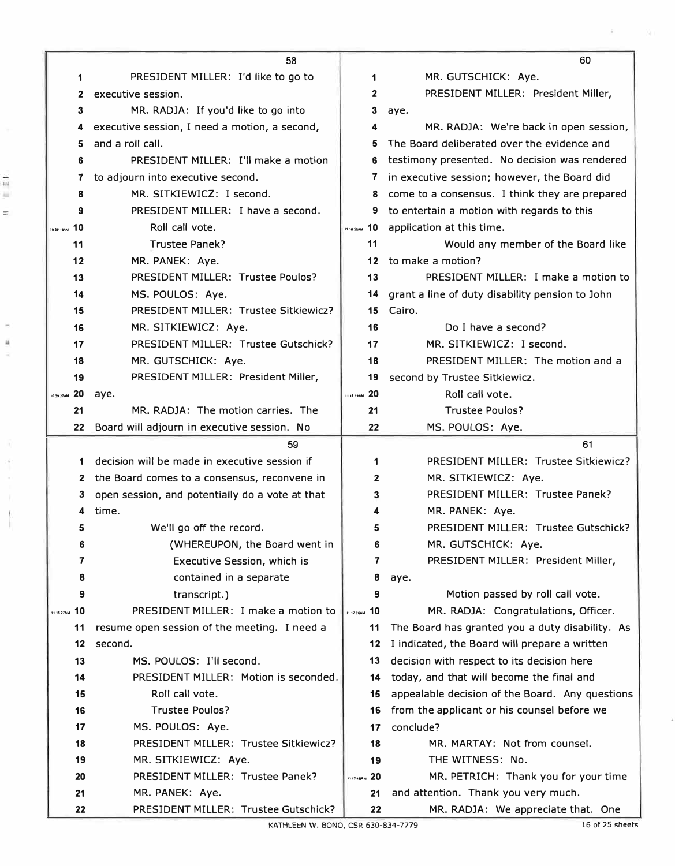|                | 58                                                      |                     | 60                                                                        |
|----------------|---------------------------------------------------------|---------------------|---------------------------------------------------------------------------|
| 1              | PRESIDENT MILLER: I'd like to go to                     | 1                   | MR. GUTSCHICK: Aye.                                                       |
| 2              | executive session.                                      | $\mathbf{2}$        | PRESIDENT MILLER: President Miller,                                       |
| 3              | MR. RADJA: If you'd like to go into                     | 3                   | aye.                                                                      |
| 4              | executive session, I need a motion, a second,           | 4                   | MR. RADJA: We're back in open session,                                    |
| 5              | and a roll call.                                        | 5                   | The Board deliberated over the evidence and                               |
| 6              | PRESIDENT MILLER: I'll make a motion                    | 6                   | testimony presented. No decision was rendered                             |
| 7              | to adjourn into executive second.                       | 7                   | in executive session; however, the Board did                              |
| 8              | MR. SITKIEWICZ: I second.                               | 8                   | come to a consensus. I think they are prepared                            |
| 9              | PRESIDENT MILLER: I have a second.                      | 9                   | to entertain a motion with regards to this                                |
| 10 59 IBAM 10  | Roll call vote.                                         | 11 16 SSAM 10       | application at this time.                                                 |
| 11             | Trustee Panek?                                          | 11                  | Would any member of the Board like                                        |
| 12             | MR. PANEK: Aye.                                         | 12 <sup>1</sup>     | to make a motion?                                                         |
| 13             | PRESIDENT MILLER: Trustee Poulos?                       | 13                  | PRESIDENT MILLER: I make a motion to                                      |
| 14             | MS. POULOS: Aye.                                        | 14                  | grant a line of duty disability pension to John                           |
| 15             | PRESIDENT MILLER: Trustee Sitkiewicz?                   | 15                  | Cairo.                                                                    |
| 16             | MR. SITKIEWICZ: Aye.                                    | 16                  | Do I have a second?                                                       |
| 17             | PRESIDENT MILLER: Trustee Gutschick?                    | 17                  | MR. SITKIEWICZ: I second.                                                 |
| 18             | MR. GUTSCHICK: Aye.                                     | 18                  | PRESIDENT MILLER: The motion and a                                        |
| 19             | PRESIDENT MILLER: President Miller,                     | 19                  | second by Trustee Sitkiewicz.                                             |
| 10 59 27 AM 20 | aye.                                                    | <b>ILIT 14AM</b> 20 | Roll call vote.                                                           |
| 21             | MR. RADJA: The motion carries. The                      | 21                  | <b>Trustee Poulos?</b>                                                    |
| 22             | Board will adjourn in executive session. No             | 22                  | MS. POULOS: Aye.                                                          |
|                |                                                         |                     |                                                                           |
|                | 59                                                      |                     | 61                                                                        |
| 1              | decision will be made in executive session if           | 1                   | PRESIDENT MILLER: Trustee Sitkiewicz?                                     |
| $\mathbf{2}$   | the Board comes to a consensus, reconvene in            | 2                   | MR. SITKIEWICZ: Aye.                                                      |
| з              | open session, and potentially do a vote at that         | 3                   | PRESIDENT MILLER: Trustee Panek?                                          |
| 4              | time.                                                   | 4                   | MR. PANEK: Aye.                                                           |
| 5              | We'll go off the record.                                | 5                   | PRESIDENT MILLER: Trustee Gutschick?                                      |
| 6              | (WHEREUPON, the Board went in                           | 6                   | MR. GUTSCHICK: Aye.                                                       |
| 7              | Executive Session, which is                             | 7                   | PRESIDENT MILLER: President Miller,                                       |
| 8              | contained in a separate                                 | 8                   | aye.                                                                      |
| 9              | transcript.)                                            | 9                   | Motion passed by roll call vote.                                          |
| 11 16 27AM 10  | PRESIDENT MILLER: I make a motion to                    | 11 17 26AM 10       | MR. RADJA: Congratulations, Officer.                                      |
| 11             | resume open session of the meeting. I need a            | 11                  | The Board has granted you a duty disability. As                           |
| 12             | second.                                                 | 12                  | I indicated, the Board will prepare a written                             |
| 13             | MS. POULOS: I'll second.                                | 13                  | decision with respect to its decision here                                |
| 14             | PRESIDENT MILLER: Motion is seconded.                   | 14                  | today, and that will become the final and                                 |
| 15             | Roll call vote.                                         | 15                  | appealable decision of the Board. Any questions                           |
| 16             | <b>Trustee Poulos?</b>                                  | 16                  | from the applicant or his counsel before we                               |
| 17             | MS. POULOS: Aye.                                        | 17                  | conclude?                                                                 |
| 18             | PRESIDENT MILLER: Trustee Sitkiewicz?                   | 18                  | MR. MARTAY: Not from counsel.                                             |
| 19             | MR. SITKIEWICZ: Aye.                                    | 19                  | THE WITNESS: No.                                                          |
| 20             | PRESIDENT MILLER: Trustee Panek?                        | <b>117464M</b> 20   | MR. PETRICH: Thank you for your time                                      |
| 21<br>22       | MR. PANEK: Aye.<br>PRESIDENT MILLER: Trustee Gutschick? | 21<br>22            | and attention. Thank you very much.<br>MR. RADJA: We appreciate that. One |

ś

Y.

ú.